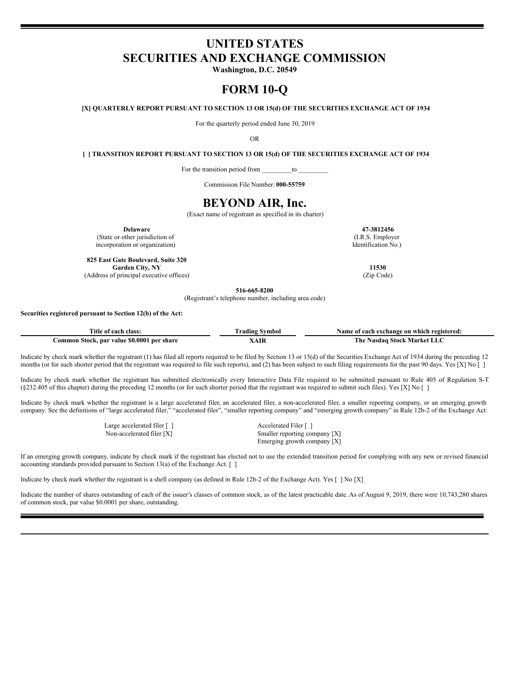# **UNITED STATES SECURITIES AND EXCHANGE COMMISSION**

**Washington, D.C. 20549**

# **FORM 10-Q**

**[X] QUARTERLY REPORT PURSUANT TO SECTION 13 OR 15(d) OF THE SECURITIES EXCHANGE ACT OF 1934**

For the quarterly period ended June 30, 2019

OR

**[ ] TRANSITION REPORT PURSUANT TO SECTION 13 OR 15(d) OF THE SECURITIES EXCHANGE ACT OF 1934**

For the transition period from \_\_\_\_\_\_\_\_to \_\_\_\_\_

Commission File Number: **000-55759**

# **BEYOND AIR, Inc.**

(Exact name of registrant as specified in its charter)

**Delaware 47-3812456** (State or other jurisdiction of incorporation or organization)

**825 East Gate Boulevard, Suite 320 Garden City, NY 11530** (Address of principal executive offices) (Zip Code)

(I.R.S. Employer Identification No.)

**516-665-8200**

(Registrant's telephone number, including area code)

## **Securities registered pursuant to Section 12(b) of the Act:**

| Title of each class:                       | Trading Symbol | Name of each exchange on which registered: |  |  |  |  |
|--------------------------------------------|----------------|--------------------------------------------|--|--|--|--|
| Common Stock, par value \$0.0001 per share | 8 XAIR         | The Nasdaq Stock Market LLC                |  |  |  |  |

Indicate by check mark whether the registrant (1) has filed all reports required to be filed by Section 13 or 15(d) of the Securities Exchange Act of 1934 during the preceding 12 months (or for such shorter period that the registrant was required to file such reports), and (2) has been subject to such filing requirements for the past 90 days. Yes [X] No []

Indicate by check mark whether the registrant has submitted electronically every Interactive Data File required to be submitted pursuant to Rule 405 of Regulation S-T (§232.405 of this chapter) during the preceding 12 months (or for such shorter period that the registrant was required to submit such files). Yes [X] No [ ]

Indicate by check mark whether the registrant is a large accelerated filer, an accelerated filer, a non-accelerated filer, a smaller reporting company, or an emerging growth company. See the definitions of "large accelerated filer," "accelerated filer", "smaller reporting company" and "emerging growth company" in Rule 12b-2 of the Exchange Act:

Large accelerated filer [ ] <br>Accelerated Filer [ ]

Non-accelerated filer [X] Smaller reporting company [X] Emerging growth company [X]

If an emerging growth company, indicate by check mark if the registrant has elected not to use the extended transition period for complying with any new or revised financial accounting standards provided pursuant to Section 13(a) of the Exchange Act. [ ]

Indicate by check mark whether the registrant is a shell company (as defined in Rule 12b-2 of the Exchange Act). Yes [ ] No [X]

Indicate the number of shares outstanding of each of the issuer's classes of common stock, as of the latest practicable date. As of August 9, 2019, there were 10,743,280 shares of common stock, par value \$0.0001 per share, outstanding.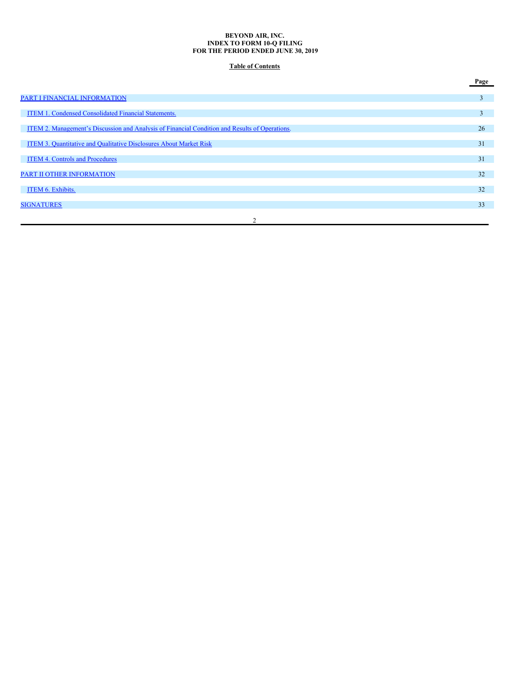# **BEYOND AIR, INC. INDEX TO FORM 10-Q FILING FOR THE PERIOD ENDED JUNE 30, 2019**

# **Table of Contents**

|                                                                                                | Page |
|------------------------------------------------------------------------------------------------|------|
| PART I FINANCIAL INFORMATION                                                                   | 3    |
| ITEM 1. Condensed Consolidated Financial Statements.                                           | 3    |
| ITEM 2. Management's Discussion and Analysis of Financial Condition and Results of Operations. | 26   |
| ITEM 3. Quantitative and Qualitative Disclosures About Market Risk                             | 31   |
| <b>ITEM 4. Controls and Procedures</b>                                                         | 31   |
| PART II OTHER INFORMATION                                                                      | 32   |
| ITEM 6. Exhibits.                                                                              | 32   |
| <b>SIGNATURES</b>                                                                              | 33   |
| $\mathcal{L}$                                                                                  |      |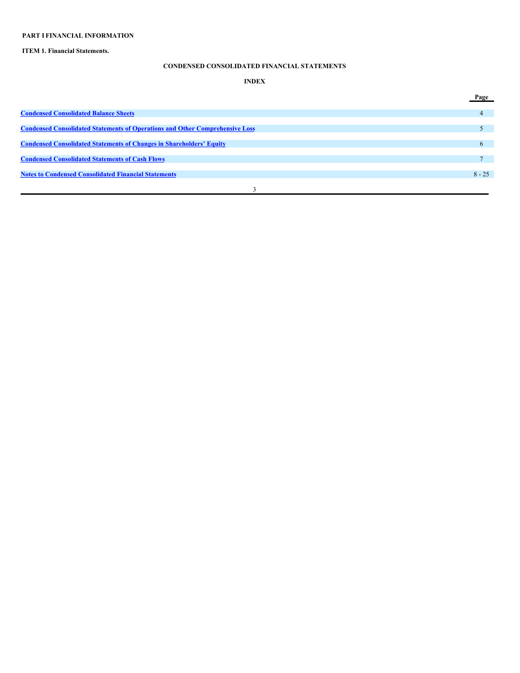# <span id="page-2-0"></span>**PART I FINANCIAL INFORMATION**

<span id="page-2-1"></span>**ITEM 1. Financial Statements.**

# **CONDENSED CONSOLIDATED FINANCIAL STATEMENTS**

# **INDEX**

|                                                                                     | Page     |
|-------------------------------------------------------------------------------------|----------|
| <b>Condensed Consolidated Balance Sheets</b>                                        |          |
| <b>Condensed Consolidated Statements of Operations and Other Comprehensive Loss</b> |          |
| <b>Condensed Consolidated Statements of Changes in Shareholders' Equity</b>         | 6        |
| <b>Condensed Consolidated Statements of Cash Flows</b>                              |          |
| <b>Notes to Condensed Consolidated Financial Statements</b>                         | $8 - 25$ |
|                                                                                     |          |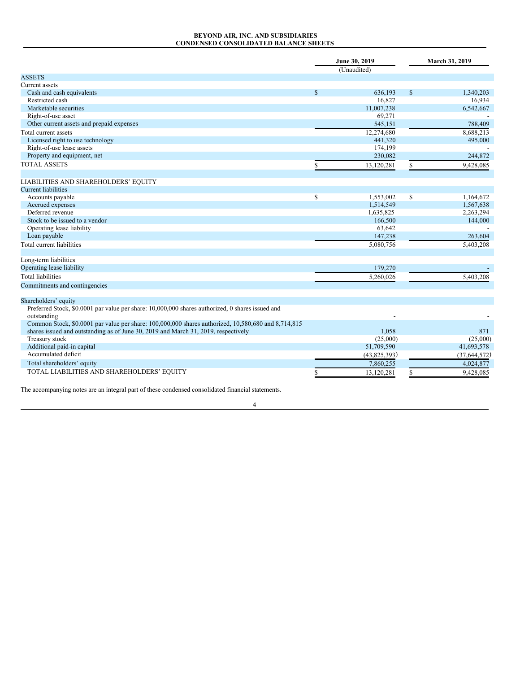# <span id="page-3-0"></span>**BEYOND AIR, INC. AND SUBSIDIARIES CONDENSED CONSOLIDATED BALANCE SHEETS**

|                                                                                                     |              | June 30, 2019<br>(Unaudited) | March 31, 2019 |                |  |
|-----------------------------------------------------------------------------------------------------|--------------|------------------------------|----------------|----------------|--|
| <b>ASSETS</b>                                                                                       |              |                              |                |                |  |
| Current assets                                                                                      |              |                              |                |                |  |
| Cash and cash equivalents                                                                           | $\mathbb{S}$ | 636,193                      | $\mathbb{S}$   | 1,340,203      |  |
| Restricted cash                                                                                     |              | 16,827                       |                | 16,934         |  |
| Marketable securities                                                                               |              | 11,007,238                   |                | 6,542,667      |  |
| Right-of-use asset                                                                                  |              | 69,271                       |                |                |  |
| Other current assets and prepaid expenses                                                           |              | 545,151                      |                | 788,409        |  |
| Total current assets                                                                                |              | 12,274,680                   |                | 8,688,213      |  |
| Licensed right to use technology                                                                    |              | 441,320                      |                | 495,000        |  |
| Right-of-use lease assets                                                                           |              | 174,199                      |                |                |  |
| Property and equipment, net                                                                         |              | 230,082                      |                | 244,872        |  |
| <b>TOTAL ASSETS</b>                                                                                 |              | 13,120,281                   | \$             | 9,428,085      |  |
|                                                                                                     |              |                              |                |                |  |
| LIABILITIES AND SHAREHOLDERS' EQUITY                                                                |              |                              |                |                |  |
| <b>Current liabilities</b>                                                                          |              |                              |                |                |  |
| Accounts payable                                                                                    | $\mathbb{S}$ | 1,553,002                    | \$             | 1,164,672      |  |
| Accrued expenses                                                                                    |              | 1,514,549                    |                | 1,567,638      |  |
| Deferred revenue                                                                                    |              | 1,635,825                    |                | 2,263,294      |  |
| Stock to be issued to a vendor                                                                      |              | 166,500                      |                | 144,000        |  |
| Operating lease liability                                                                           |              | 63,642                       |                |                |  |
| Loan payable                                                                                        |              | 147,238                      |                | 263,604        |  |
| Total current liabilities                                                                           |              | 5,080,756                    |                | 5,403,208      |  |
|                                                                                                     |              |                              |                |                |  |
| Long-term liabilities                                                                               |              |                              |                |                |  |
| Operating lease liability                                                                           |              | 179,270                      |                |                |  |
| <b>Total liabilities</b>                                                                            |              | 5,260,026                    |                | 5,403,208      |  |
| Commitments and contingencies                                                                       |              |                              |                |                |  |
|                                                                                                     |              |                              |                |                |  |
| Shareholders' equity                                                                                |              |                              |                |                |  |
| Preferred Stock, \$0.0001 par value per share: 10,000,000 shares authorized, 0 shares issued and    |              |                              |                |                |  |
| outstanding                                                                                         |              |                              |                |                |  |
| Common Stock, \$0.0001 par value per share: 100,000,000 shares authorized, 10,580,680 and 8,714,815 |              |                              |                |                |  |
| shares issued and outstanding as of June 30, 2019 and March 31, 2019, respectively                  |              | 1.058                        |                | 871            |  |
| Treasury stock                                                                                      |              | (25,000)                     |                | (25,000)       |  |
| Additional paid-in capital                                                                          |              | 51,709,590                   |                | 41,693,578     |  |
| Accumulated deficit                                                                                 |              | (43,825,393)                 |                | (37, 644, 572) |  |
| Total shareholders' equity                                                                          |              | 7,860,255                    |                | 4,024,877      |  |
| TOTAL LIABILITIES AND SHAREHOLDERS' EQUITY                                                          |              | 13,120,281                   | \$             | 9,428,085      |  |
| $\sim$ $\sim$ $\sim$                                                                                |              |                              |                |                |  |

The accompanying notes are an integral part of these condensed consolidated financial statements.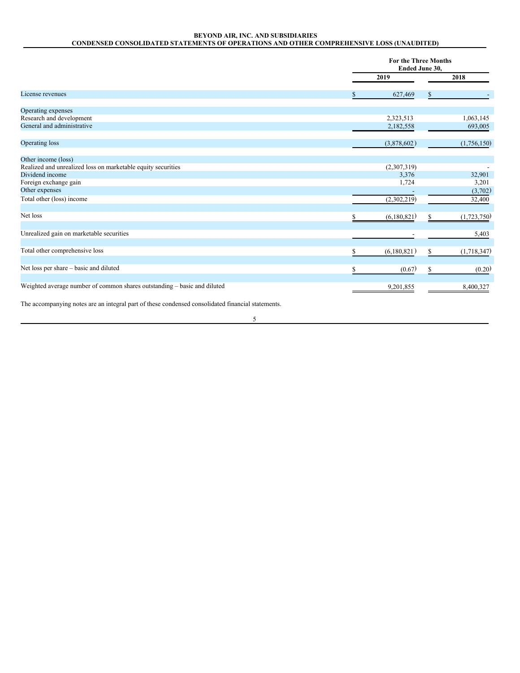# <span id="page-4-0"></span>**BEYOND AIR, INC. AND SUBSIDIARIES CONDENSED CONSOLIDATED STATEMENTS OF OPERATIONS AND OTHER COMPREHENSIVE LOSS (UNAUDITED)**

|                                                                          |     | <b>For the Three Months</b><br><b>Ended June 30,</b> |   |             |
|--------------------------------------------------------------------------|-----|------------------------------------------------------|---|-------------|
|                                                                          |     | 2019                                                 |   | 2018        |
| License revenues                                                         |     | 627,469                                              | S |             |
| Operating expenses                                                       |     |                                                      |   |             |
| Research and development                                                 |     | 2,323,513                                            |   | 1,063,145   |
| General and administrative                                               |     | 2,182,558                                            |   | 693,005     |
| Operating loss                                                           |     | (3,878,602)                                          |   | (1,756,150) |
| Other income (loss)                                                      |     |                                                      |   |             |
| Realized and unrealized loss on marketable equity securities             |     | (2,307,319)                                          |   |             |
| Dividend income                                                          |     | 3,376                                                |   | 32,901      |
| Foreign exchange gain                                                    |     | 1,724                                                |   | 3,201       |
| Other expenses                                                           |     |                                                      |   | (3,702)     |
| Total other (loss) income                                                |     | (2,302,219)                                          |   | 32,400      |
| Net loss                                                                 | S   | (6,180,821)                                          | S | (1,723,750) |
| Unrealized gain on marketable securities                                 |     |                                                      |   | 5,403       |
| Total other comprehensive loss                                           |     | (6,180,821)                                          | S | (1,718,347) |
| Net loss per share - basic and diluted                                   | \$. | (0.67)                                               | S | (0.20)      |
| Weighted average number of common shares outstanding - basic and diluted |     | 9,201,855                                            |   | 8,400,327   |

The accompanying notes are an integral part of these condensed consolidated financial statements.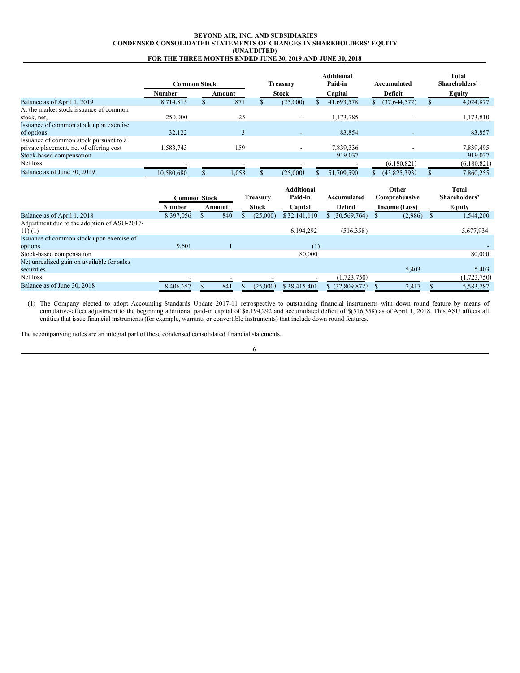## <span id="page-5-0"></span>**BEYOND AIR, INC. AND SUBSIDIARIES CONDENSED CONSOLIDATED STATEMENTS OF CHANGES IN SHAREHOLDERS' EQUITY (UNAUDITED) FOR THE THREE MONTHS ENDED JUNE 30, 2019 AND JUNE 30, 2018**

|                                         | <b>Common Stock</b> |        |   | <b>Treasury</b>          | <b>Additional</b><br>Paid-in |    | Accumulated    | Total<br>Shareholders' |
|-----------------------------------------|---------------------|--------|---|--------------------------|------------------------------|----|----------------|------------------------|
|                                         | <b>Number</b>       | Amount |   | <b>Stock</b>             | Capital                      |    | Deficit        | <b>Equity</b>          |
| Balance as of April 1, 2019             | 8,714,815           | 871    | æ | (25,000)                 | 41,693,578                   | S. | (37, 644, 572) | 4,024,877              |
| At the market stock issuance of common  |                     |        |   |                          |                              |    |                |                        |
| stock, net,                             | 250,000             | 25     |   | $\overline{\phantom{0}}$ | 1,173,785                    |    |                | 1,173,810              |
| Issuance of common stock upon exercise  |                     |        |   |                          |                              |    |                |                        |
| of options                              | 32,122              |        |   | $\overline{\phantom{a}}$ | 83,854                       |    |                | 83,857                 |
| Issuance of common stock pursuant to a  |                     |        |   |                          |                              |    |                |                        |
| private placement, net of offering cost | .583,743            | 159    |   | $\overline{\phantom{a}}$ | 7,839,336                    |    |                | 7,839,495              |
| Stock-based compensation                |                     |        |   |                          | 919.037                      |    |                | 919.037                |
| Net loss                                |                     |        |   |                          |                              |    | (6,180,821)    | (6,180,821)            |
| Balance as of June 30, 2019             | 10.580.680          | 1,058  |   | (25,000)                 | 51,709,590                   |    | (43,825,393)   | 7.860.255              |

|                                             | <b>Common Stock</b> |        | Treasury     | <b>Additional</b><br>Paid-in | Accumulated       | Other<br>Comprehensive | Total<br>Shareholders' |
|---------------------------------------------|---------------------|--------|--------------|------------------------------|-------------------|------------------------|------------------------|
|                                             | <b>Number</b>       | Amount | <b>Stock</b> | Capital                      | Deficit           | Income (Loss)          | Equity                 |
| Balance as of April 1, 2018                 | 8,397,056           | 840    | (25,000)     | \$32,141,110                 | \$ (30, 569, 764) | (2,986)                | 1,544,200              |
| Adjustment due to the adoption of ASU-2017- |                     |        |              |                              |                   |                        |                        |
| 11)(1)                                      |                     |        |              | 6,194,292                    | (516, 358)        |                        | 5,677,934              |
| Issuance of common stock upon exercise of   |                     |        |              |                              |                   |                        |                        |
| options                                     | 9,601               |        |              | (1)                          |                   |                        |                        |
| Stock-based compensation                    |                     |        |              | 80,000                       |                   |                        | 80,000                 |
| Net unrealized gain on available for sales  |                     |        |              |                              |                   |                        |                        |
| securities                                  |                     |        |              |                              |                   | 5.403                  | 5,403                  |
| Net loss                                    |                     |        |              |                              | (1,723,750)       |                        | (1,723,750)            |
| Balance as of June 30, 2018                 | 8.406.657           | 841    | (25,000)     | \$38,415,401                 | \$ (32,809,872)   | 2,417                  | 5,583,787              |

(1) The Company elected to adopt Accounting Standards Update 2017-11 retrospective to outstanding financial instruments with down round feature by means of cumulative-effect adjustment to the beginning additional paid-in capital of \$6,194,292 and accumulated deficit of \$(516,358) as of April 1, 2018. This ASU affects all entities that issue financial instruments (for example, warrants or convertible instruments) that include down round features.

The accompanying notes are an integral part of these condensed consolidated financial statements.

$$
\overline{6}
$$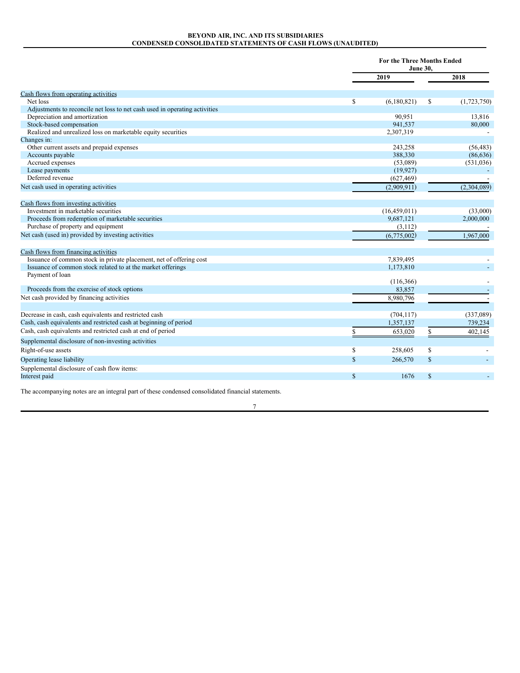# <span id="page-6-0"></span>**BEYOND AIR, INC. AND ITS SUBSIDIARIES CONDENSED CONSOLIDATED STATEMENTS OF CASH FLOWS (UNAUDITED)**

|                                                                            |    | <b>For the Three Months Ended</b><br><b>June 30,</b> |    |             |  |
|----------------------------------------------------------------------------|----|------------------------------------------------------|----|-------------|--|
|                                                                            |    | 2019                                                 |    | 2018        |  |
| Cash flows from operating activities                                       |    |                                                      |    |             |  |
| Net loss                                                                   | \$ | (6,180,821)                                          | S  | (1,723,750) |  |
| Adjustments to reconcile net loss to net cash used in operating activities |    |                                                      |    |             |  |
| Depreciation and amortization                                              |    | 90.951                                               |    | 13,816      |  |
| Stock-based compensation                                                   |    | 941,537                                              |    | 80,000      |  |
| Realized and unrealized loss on marketable equity securities               |    | 2,307,319                                            |    |             |  |
| Changes in:                                                                |    |                                                      |    |             |  |
| Other current assets and prepaid expenses                                  |    | 243,258                                              |    | (56, 483)   |  |
| Accounts payable                                                           |    | 388,330                                              |    | (86, 636)   |  |
| Accrued expenses                                                           |    | (53,089)                                             |    | (531,036)   |  |
| Lease payments                                                             |    | (19, 927)                                            |    |             |  |
| Deferred revenue                                                           |    | (627, 469)                                           |    |             |  |
| Net cash used in operating activities                                      |    | (2,909,911)                                          |    | (2,304,089) |  |
| Cash flows from investing activities                                       |    |                                                      |    |             |  |
| Investment in marketable securities                                        |    | (16, 459, 011)                                       |    | (33,000)    |  |
| Proceeds from redemption of marketable securities                          |    | 9,687,121                                            |    | 2,000,000   |  |
| Purchase of property and equipment                                         |    | (3,112)                                              |    |             |  |
| Net cash (used in) provided by investing activities                        |    | (6,775,002)                                          |    | 1.967.000   |  |
| Cash flows from financing activities                                       |    |                                                      |    |             |  |
| Issuance of common stock in private placement, net of offering cost        |    | 7,839,495                                            |    |             |  |
| Issuance of common stock related to at the market offerings                |    | 1,173,810                                            |    |             |  |
| Payment of loan                                                            |    |                                                      |    |             |  |
|                                                                            |    | (116,366)                                            |    |             |  |
| Proceeds from the exercise of stock options                                |    | 83,857                                               |    |             |  |
| Net cash provided by financing activities                                  |    | 8,980,796                                            |    |             |  |
| Decrease in cash, cash equivalents and restricted cash                     |    | (704, 117)                                           |    | (337,089)   |  |
| Cash, cash equivalents and restricted cash at beginning of period          |    | 1,357,137                                            |    | 739,234     |  |
| Cash, cash equivalents and restricted cash at end of period                |    | 653,020                                              |    | 402,145     |  |
| Supplemental disclosure of non-investing activities                        |    |                                                      |    |             |  |
| Right-of-use assets                                                        | S  | 258,605                                              | \$ |             |  |
| Operating lease liability                                                  | \$ | 266,570                                              | \$ |             |  |
| Supplemental disclosure of cash flow items:                                |    |                                                      |    |             |  |
| Interest paid                                                              | \$ | 1676                                                 | \$ |             |  |
|                                                                            |    |                                                      |    |             |  |

The accompanying notes are an integral part of these condensed consolidated financial statements.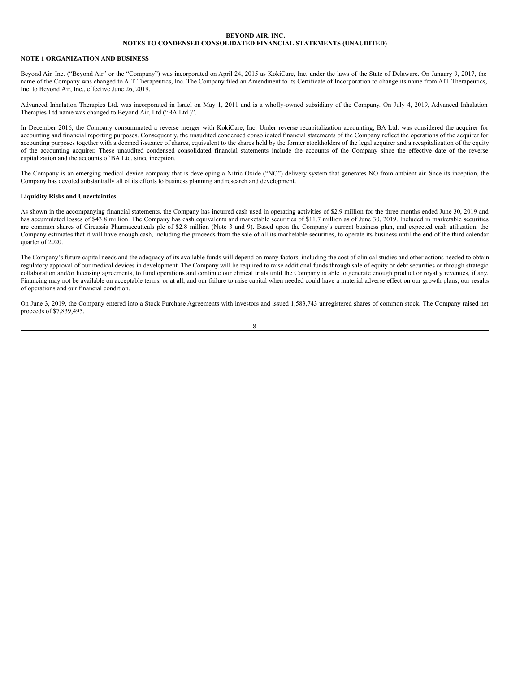# <span id="page-7-0"></span>**NOTE 1 ORGANIZATION AND BUSINESS**

Beyond Air, Inc. ("Beyond Air" or the "Company") was incorporated on April 24, 2015 as KokiCare, Inc. under the laws of the State of Delaware. On January 9, 2017, the name of the Company was changed to AIT Therapeutics, Inc. The Company filed an Amendment to its Certificate of Incorporation to change its name from AIT Therapeutics, Inc. to Beyond Air, Inc., effective June 26, 2019.

Advanced Inhalation Therapies Ltd. was incorporated in Israel on May 1, 2011 and is a wholly-owned subsidiary of the Company. On July 4, 2019, Advanced Inhalation Therapies Ltd name was changed to Beyond Air, Ltd ("BA Ltd.)".

In December 2016, the Company consummated a reverse merger with KokiCare, Inc. Under reverse recapitalization accounting, BA Ltd. was considered the acquirer for accounting and financial reporting purposes. Consequently, the unaudited condensed consolidated financial statements of the Company reflect the operations of the acquirer for accounting purposes together with a deemed issuance of shares, equivalent to the shares held by the former stockholders of the legal acquirer and a recapitalization of the equity of the accounting acquirer. These unaudited condensed consolidated financial statements include the accounts of the Company since the effective date of the reverse capitalization and the accounts of BA Ltd. since inception.

The Company is an emerging medical device company that is developing a Nitric Oxide ("NO") delivery system that generates NO from ambient air. Since its inception, the Company has devoted substantially all of its efforts to business planning and research and development.

#### **Liquidity Risks and Uncertainties**

As shown in the accompanying financial statements, the Company has incurred cash used in operating activities of \$2.9 million for the three months ended June 30, 2019 and has accumulated losses of \$43.8 million. The Company has cash equivalents and marketable securities of \$11.7 million as of June 30, 2019. Included in marketable securities are common shares of Circassia Pharmaceuticals plc of \$2.8 million (Note 3 and 9). Based upon the Company's current business plan, and expected cash utilization, the Company estimates that it will have enough cash, including the proceeds from the sale of all its marketable securities, to operate its business until the end of the third calendar quarter of 2020.

The Company's future capital needs and the adequacy of its available funds will depend on many factors, including the cost of clinical studies and other actions needed to obtain regulatory approval of our medical devices in development. The Company will be required to raise additional funds through sale of equity or debt securities or through strategic collaboration and/or licensing agreements, to fund operations and continue our clinical trials until the Company is able to generate enough product or royalty revenues, if any. Financing may not be available on acceptable terms, or at all, and our failure to raise capital when needed could have a material adverse effect on our growth plans, our results of operations and our financial condition.

On June 3, 2019, the Company entered into a Stock Purchase Agreements with investors and issued 1,583,743 unregistered shares of common stock. The Company raised net proceeds of \$7,839,495.

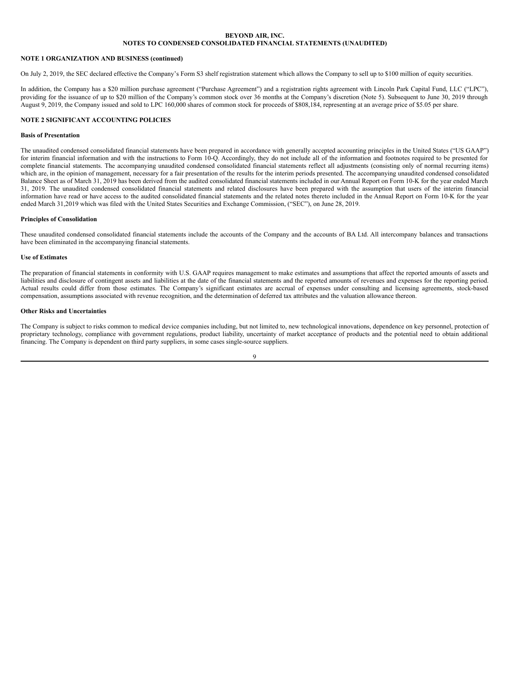# **NOTE 1 ORGANIZATION AND BUSINESS (continued)**

On July 2, 2019, the SEC declared effective the Company's Form S3 shelf registration statement which allows the Company to sell up to \$100 million of equity securities.

In addition, the Company has a \$20 million purchase agreement ("Purchase Agreement") and a registration rights agreement with Lincoln Park Capital Fund, LLC ("LPC"), providing for the issuance of up to \$20 million of the Company's common stock over 36 months at the Company's discretion (Note 5). Subsequent to June 30, 2019 through August 9, 2019, the Company issued and sold to LPC 160,000 shares of common stock for proceeds of \$808,184, representing at an average price of \$5.05 per share.

# **NOTE 2 SIGNIFICANT ACCOUNTING POLICIES**

# **Basis of Presentation**

The unaudited condensed consolidated financial statements have been prepared in accordance with generally accepted accounting principles in the United States ("US GAAP") for interim financial information and with the instructions to Form 10-Q. Accordingly, they do not include all of the information and footnotes required to be presented for complete financial statements. The accompanying unaudited condensed consolidated financial statements reflect all adjustments (consisting only of normal recurring items) which are, in the opinion of management, necessary for a fair presentation of the results for the interim periods presented. The accompanying unaudited condensed consolidated Balance Sheet as of March 31, 2019 has been derived from the audited consolidated financial statements included in our Annual Report on Form 10-K for the year ended March 31, 2019. The unaudited condensed consolidated financial statements and related disclosures have been prepared with the assumption that users of the interim financial information have read or have access to the audited consolidated financial statements and the related notes thereto included in the Annual Report on Form 10-K for the year ended March 31,2019 which was filed with the United States Securities and Exchange Commission, ("SEC"), on June 28, 2019.

## **Principles of Consolidation**

These unaudited condensed consolidated financial statements include the accounts of the Company and the accounts of BA Ltd. All intercompany balances and transactions have been eliminated in the accompanying financial statements.

## **Use of Estimates**

The preparation of financial statements in conformity with U.S. GAAP requires management to make estimates and assumptions that affect the reported amounts of assets and liabilities and disclosure of contingent assets and liabilities at the date of the financial statements and the reported amounts of revenues and expenses for the reporting period. Actual results could differ from those estimates. The Company's significant estimates are accrual of expenses under consulting and licensing agreements, stock-based compensation, assumptions associated with revenue recognition, and the determination of deferred tax attributes and the valuation allowance thereon.

#### **Other Risks and Uncertainties**

The Company is subject to risks common to medical device companies including, but not limited to, new technological innovations, dependence on key personnel, protection of proprietary technology, compliance with government regulations, product liability, uncertainty of market acceptance of products and the potential need to obtain additional financing. The Company is dependent on third party suppliers, in some cases single-source suppliers.

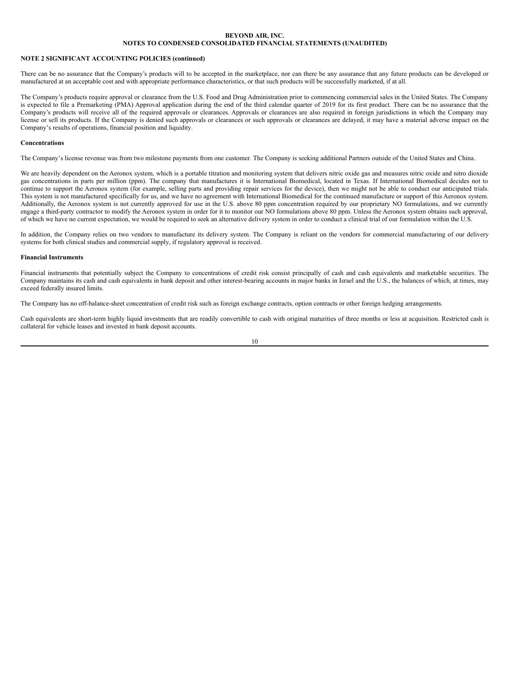# **BEYOND AIR, INC.**

# **NOTES TO CONDENSED CONSOLIDATED FINANCIAL STATEMENTS (UNAUDITED)**

# **NOTE 2 SIGNIFICANT ACCOUNTING POLICIES (continued)**

There can be no assurance that the Company's products will to be accepted in the marketplace, nor can there be any assurance that any future products can be developed or manufactured at an acceptable cost and with appropriate performance characteristics, or that such products will be successfully marketed, if at all.

The Company's products require approval or clearance from the U.S. Food and Drug Administration prior to commencing commercial sales in the United States. The Company is expected to file a Premarketing (PMA) Approval application during the end of the third calendar quarter of 2019 for its first product. There can be no assurance that the Company's products will receive all of the required approvals or clearances. Approvals or clearances are also required in foreign jurisdictions in which the Company may license or sell its products. If the Company is denied such approvals or clearances or such approvals or clearances are delayed, it may have a material adverse impact on the Company's results of operations, financial position and liquidity.

#### **Concentrations**

The Company's license revenue was from two milestone payments from one customer. The Company is seeking additional Partners outside of the United States and China.

We are heavily dependent on the Aeronox system, which is a portable titration and monitoring system that delivers nitric oxide gas and measures nitric oxide and nitro dioxide gas concentrations in parts per million (ppm). The company that manufactures it is International Biomedical, located in Texas. If International Biomedical decides not to continue to support the Aeronox system (for example, selling parts and providing repair services for the device), then we might not be able to conduct our anticipated trials. This system is not manufactured specifically for us, and we have no agreement with International Biomedical for the continued manufacture or support of this Aeronox system. Additionally, the Aeronox system is not currently approved for use in the U.S. above 80 ppm concentration required by our proprietary NO formulations, and we currently engage a third-party contractor to modify the Aeronox system in order for it to monitor our NO formulations above 80 ppm. Unless the Aeronox system obtains such approval, of which we have no current expectation, we would be required to seek an alternative delivery system in order to conduct a clinical trial of our formulation within the U.S.

In addition, the Company relies on two vendors to manufacture its delivery system. The Company is reliant on the vendors for commercial manufacturing of our delivery systems for both clinical studies and commercial supply, if regulatory approval is received.

## **Financial Instruments**

Financial instruments that potentially subject the Company to concentrations of credit risk consist principally of cash and cash equivalents and marketable securities. The Company maintains its cash and cash equivalents in bank deposit and other interest-bearing accounts in major banks in Israel and the U.S., the balances of which, at times, may exceed federally insured limits.

The Company has no off-balance-sheet concentration of credit risk such as foreign exchange contracts, option contracts or other foreign hedging arrangements.

Cash equivalents are short-term highly liquid investments that are readily convertible to cash with original maturities of three months or less at acquisition. Restricted cash is collateral for vehicle leases and invested in bank deposit accounts.

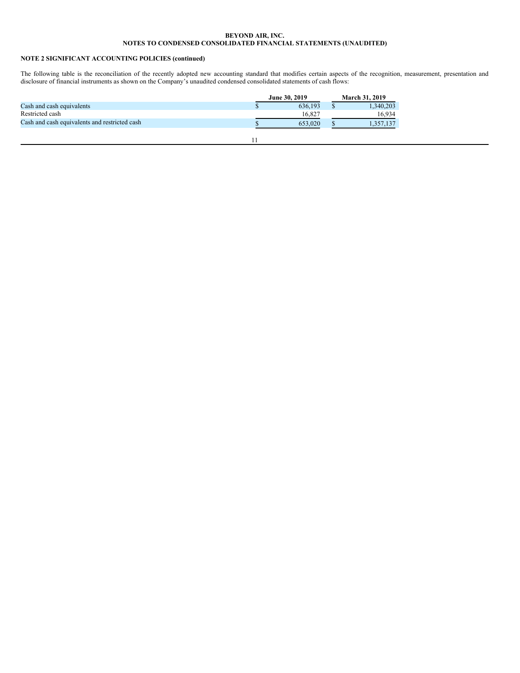# **NOTE 2 SIGNIFICANT ACCOUNTING POLICIES (continued)**

The following table is the reconciliation of the recently adopted new accounting standard that modifies certain aspects of the recognition, measurement, presentation and disclosure of financial instruments as shown on the Company's unaudited condensed consolidated statements of cash flows:

|                                               | June 30, 2019 | <b>March 31, 2019</b> |
|-----------------------------------------------|---------------|-----------------------|
| Cash and cash equivalents                     | 636.193       | 1,340,203             |
| Restricted cash                               | 16.827        | 16.934                |
| Cash and cash equivalents and restricted cash | 653,020       | 1,357,137             |
|                                               |               |                       |
|                                               |               |                       |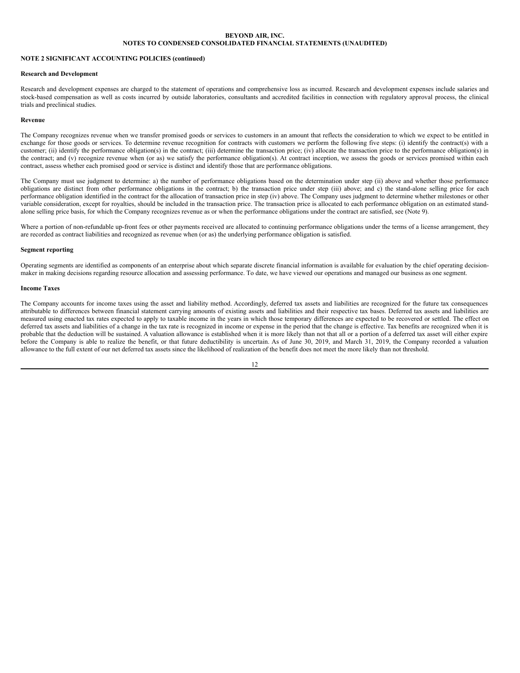## **NOTE 2 SIGNIFICANT ACCOUNTING POLICIES (continued)**

## **Research and Development**

Research and development expenses are charged to the statement of operations and comprehensive loss as incurred. Research and development expenses include salaries and stock-based compensation as well as costs incurred by outside laboratories, consultants and accredited facilities in connection with regulatory approval process, the clinical trials and preclinical studies.

#### **Revenue**

The Company recognizes revenue when we transfer promised goods or services to customers in an amount that reflects the consideration to which we expect to be entitled in exchange for those goods or services. To determine revenue recognition for contracts with customers we perform the following five steps: (i) identify the contract(s) with a customer; (ii) identify the performance obligation(s) in the contract; (iii) determine the transaction price; (iv) allocate the transaction price to the performance obligation(s) in the contract; and (v) recognize revenue when (or as) we satisfy the performance obligation(s). At contract inception, we assess the goods or services promised within each contract, assess whether each promised good or service is distinct and identify those that are performance obligations.

The Company must use judgment to determine: a) the number of performance obligations based on the determination under step (ii) above and whether those performance obligations are distinct from other performance obligations in the contract; b) the transaction price under step (iii) above; and c) the stand-alone selling price for each performance obligation identified in the contract for the allocation of transaction price in step (iv) above. The Company uses judgment to determine whether milestones or other variable consideration, except for royalties, should be included in the transaction price. The transaction price is allocated to each performance obligation on an estimated standalone selling price basis, for which the Company recognizes revenue as or when the performance obligations under the contract are satisfied, see (Note 9).

Where a portion of non-refundable up-front fees or other payments received are allocated to continuing performance obligations under the terms of a license arrangement, they are recorded as contract liabilities and recognized as revenue when (or as) the underlying performance obligation is satisfied.

#### **Segment reporting**

Operating segments are identified as components of an enterprise about which separate discrete financial information is available for evaluation by the chief operating decisionmaker in making decisions regarding resource allocation and assessing performance. To date, we have viewed our operations and managed our business as one segment.

#### **Income Taxes**

The Company accounts for income taxes using the asset and liability method. Accordingly, deferred tax assets and liabilities are recognized for the future tax consequences attributable to differences between financial statement carrying amounts of existing assets and liabilities and their respective tax bases. Deferred tax assets and liabilities are measured using enacted tax rates expected to apply to taxable income in the years in which those temporary differences are expected to be recovered or settled. The effect on deferred tax assets and liabilities of a change in the tax rate is recognized in income or expense in the period that the change is effective. Tax benefits are recognized when it is probable that the deduction will be sustained. A valuation allowance is established when it is more likely than not that all or a portion of a deferred tax asset will either expire before the Company is able to realize the benefit, or that future deductibility is uncertain. As of June 30, 2019, and March 31, 2019, the Company recorded a valuation allowance to the full extent of our net deferred tax assets since the likelihood of realization of the benefit does not meet the more likely than not threshold.

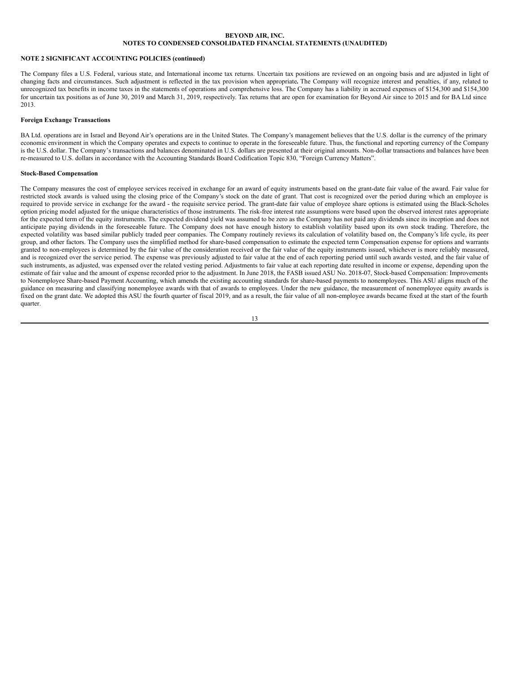# **NOTE 2 SIGNIFICANT ACCOUNTING POLICIES (continued)**

The Company files a U.S. Federal, various state, and International income tax returns. Uncertain tax positions are reviewed on an ongoing basis and are adjusted in light of changing facts and circumstances. Such adjustment is reflected in the tax provision when appropriate**.** The Company will recognize interest and penalties, if any, related to unrecognized tax benefits in income taxes in the statements of operations and comprehensive loss. The Company has a liability in accrued expenses of \$154,300 and \$154,300 for uncertain tax positions as of June 30, 2019 and March 31, 2019, respectively. Tax returns that are open for examination for Beyond Air since to 2015 and for BA Ltd since 2013.

# **Foreign Exchange Transactions**

BA Ltd. operations are in Israel and Beyond Air's operations are in the United States. The Company's management believes that the U.S. dollar is the currency of the primary economic environment in which the Company operates and expects to continue to operate in the foreseeable future. Thus, the functional and reporting currency of the Company is the U.S. dollar. The Company's transactions and balances denominated in U.S. dollars are presented at their original amounts. Non-dollar transactions and balances have been re-measured to U.S. dollars in accordance with the Accounting Standards Board Codification Topic 830, "Foreign Currency Matters".

### **Stock-Based Compensation**

The Company measures the cost of employee services received in exchange for an award of equity instruments based on the grant-date fair value of the award. Fair value for restricted stock awards is valued using the closing price of the Company's stock on the date of grant. That cost is recognized over the period during which an employee is required to provide service in exchange for the award - the requisite service period. The grant-date fair value of employee share options is estimated using the Black-Scholes option pricing model adjusted for the unique characteristics of those instruments. The risk-free interest rate assumptions were based upon the observed interest rates appropriate for the expected term of the equity instruments. The expected dividend yield was assumed to be zero as the Company has not paid any dividends since its inception and does not anticipate paying dividends in the foreseeable future. The Company does not have enough history to establish volatility based upon its own stock trading. Therefore, the expected volatility was based similar publicly traded peer companies. The Company routinely reviews its calculation of volatility based on, the Company's life cycle, its peer group, and other factors. The Company uses the simplified method for share-based compensation to estimate the expected term Compensation expense for options and warrants granted to non-employees is determined by the fair value of the consideration received or the fair value of the equity instruments issued, whichever is more reliably measured, and is recognized over the service period. The expense was previously adjusted to fair value at the end of each reporting period until such awards vested, and the fair value of such instruments, as adjusted, was expensed over the related vesting period. Adjustments to fair value at each reporting date resulted in income or expense, depending upon the estimate of fair value and the amount of expense recorded prior to the adjustment. In June 2018, the FASB issued ASU No. 2018-07, Stock-based Compensation: Improvements to Nonemployee Share-based Payment Accounting, which amends the existing accounting standards for share-based payments to nonemployees. This ASU aligns much of the guidance on measuring and classifying nonemployee awards with that of awards to employees. Under the new guidance, the measurement of nonemployee equity awards is fixed on the grant date. We adopted this ASU the fourth quarter of fiscal 2019, and as a result, the fair value of all non-employee awards became fixed at the start of the fourth quarter.

13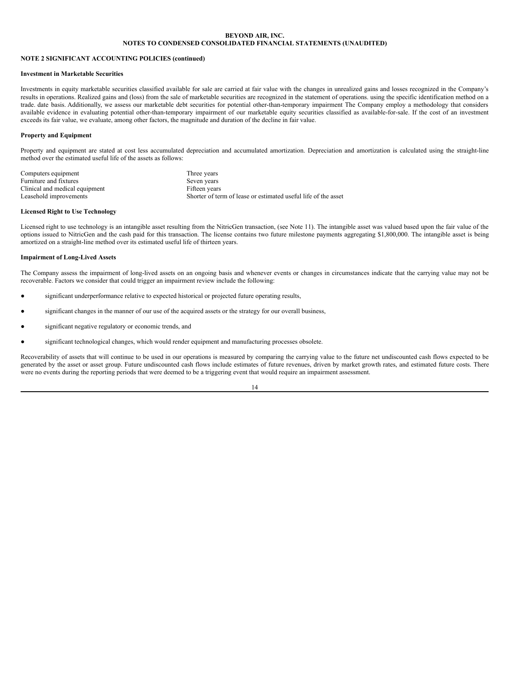## **NOTE 2 SIGNIFICANT ACCOUNTING POLICIES (continued)**

## **Investment in Marketable Securities**

Investments in equity marketable securities classified available for sale are carried at fair value with the changes in unrealized gains and losses recognized in the Company's results in operations. Realized gains and (loss) from the sale of marketable securities are recognized in the statement of operations. using the specific identification method on a trade. date basis. Additionally, we assess our marketable debt securities for potential other-than-temporary impairment The Company employ a methodology that considers available evidence in evaluating potential other-than-temporary impairment of our marketable equity securities classified as available-for-sale. If the cost of an investment exceeds its fair value, we evaluate, among other factors, the magnitude and duration of the decline in fair value.

#### **Property and Equipment**

Property and equipment are stated at cost less accumulated depreciation and accumulated amortization. Depreciation and amortization is calculated using the straight-line method over the estimated useful life of the assets as follows:

| Computers equipment            | Three years                                                    |
|--------------------------------|----------------------------------------------------------------|
| Furniture and fixtures         | Seven years                                                    |
| Clinical and medical equipment | Fifteen vears                                                  |
| Leasehold improvements         | Shorter of term of lease or estimated useful life of the asset |

#### **Licensed Right to Use Technology**

Licensed right to use technology is an intangible asset resulting from the NitricGen transaction, (see Note 11). The intangible asset was valued based upon the fair value of the options issued to NitricGen and the cash paid for this transaction. The license contains two future milestone payments aggregating \$1,800,000. The intangible asset is being amortized on a straight-line method over its estimated useful life of thirteen years.

## **Impairment of Long-Lived Assets**

The Company assess the impairment of long-lived assets on an ongoing basis and whenever events or changes in circumstances indicate that the carrying value may not be recoverable. Factors we consider that could trigger an impairment review include the following:

- significant underperformance relative to expected historical or projected future operating results,
- significant changes in the manner of our use of the acquired assets or the strategy for our overall business,
- significant negative regulatory or economic trends, and
- significant technological changes, which would render equipment and manufacturing processes obsolete.

Recoverability of assets that will continue to be used in our operations is measured by comparing the carrying value to the future net undiscounted cash flows expected to be generated by the asset or asset group. Future undiscounted cash flows include estimates of future revenues, driven by market growth rates, and estimated future costs. There were no events during the reporting periods that were deemed to be a triggering event that would require an impairment assessment.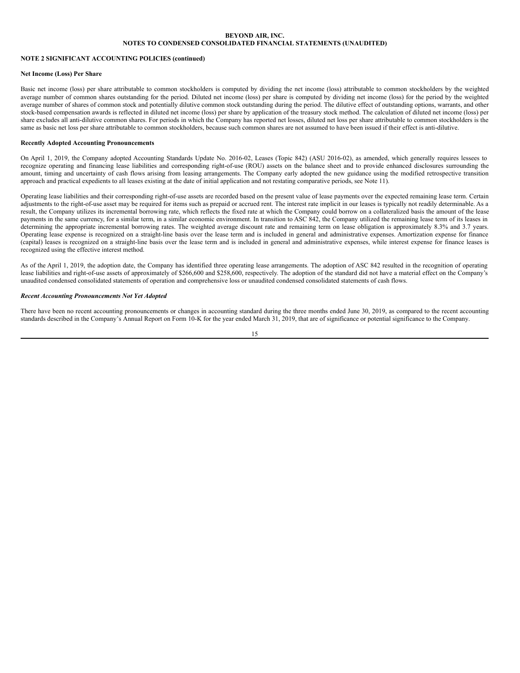## **NOTE 2 SIGNIFICANT ACCOUNTING POLICIES (continued)**

## **Net Income (Loss) Per Share**

Basic net income (loss) per share attributable to common stockholders is computed by dividing the net income (loss) attributable to common stockholders by the weighted average number of common shares outstanding for the period. Diluted net income (loss) per share is computed by dividing net income (loss) for the period by the weighted average number of shares of common stock and potentially dilutive common stock outstanding during the period. The dilutive effect of outstanding options, warrants, and other stock-based compensation awards is reflected in diluted net income (loss) per share by application of the treasury stock method. The calculation of diluted net income (loss) per share excludes all anti-dilutive common shares. For periods in which the Company has reported net losses, diluted net loss per share attributable to common stockholders is the same as basic net loss per share attributable to common stockholders, because such common shares are not assumed to have been issued if their effect is anti-dilutive.

#### **Recently Adopted Accounting Pronouncements**

On April 1, 2019, the Company adopted Accounting Standards Update No. 2016-02, Leases (Topic 842) (ASU 2016-02), as amended, which generally requires lessees to recognize operating and financing lease liabilities and corresponding right-of-use (ROU) assets on the balance sheet and to provide enhanced disclosures surrounding the amount, timing and uncertainty of cash flows arising from leasing arrangements. The Company early adopted the new guidance using the modified retrospective transition approach and practical expedients to all leases existing at the date of initial application and not restating comparative periods, see Note 11).

Operating lease liabilities and their corresponding right-of-use assets are recorded based on the present value of lease payments over the expected remaining lease term. Certain adjustments to the right-of-use asset may be required for items such as prepaid or accrued rent. The interest rate implicit in our leases is typically not readily determinable. As a result, the Company utilizes its incremental borrowing rate, which reflects the fixed rate at which the Company could borrow on a collateralized basis the amount of the lease payments in the same currency, for a similar term, in a similar economic environment. In transition to ASC 842, the Company utilized the remaining lease term of its leases in determining the appropriate incremental borrowing rates. The weighted average discount rate and remaining term on lease obligation is approximately 8.3% and 3.7 years. Operating lease expense is recognized on a straight-line basis over the lease term and is included in general and administrative expenses. Amortization expense for finance (capital) leases is recognized on a straight-line basis over the lease term and is included in general and administrative expenses, while interest expense for finance leases is recognized using the effective interest method.

As of the April 1, 2019, the adoption date, the Company has identified three operating lease arrangements. The adoption of ASC 842 resulted in the recognition of operating lease liabilities and right-of-use assets of approximately of \$266,600 and \$258,600, respectively. The adoption of the standard did not have a material effect on the Company's unaudited condensed consolidated statements of operation and comprehensive loss or unaudited condensed consolidated statements of cash flows.

# *Recent Accounting Pronouncements Not Yet Adopted*

There have been no recent accounting pronouncements or changes in accounting standard during the three months ended June 30, 2019, as compared to the recent accounting standards described in the Company's Annual Report on Form 10-K for the year ended March 31, 2019, that are of significance or potential significance to the Company.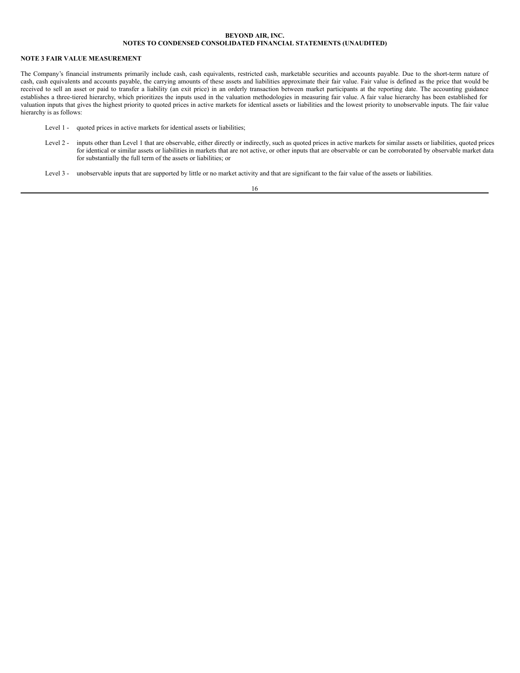# **NOTE 3 FAIR VALUE MEASUREMENT**

The Company's financial instruments primarily include cash, cash equivalents, restricted cash, marketable securities and accounts payable. Due to the short-term nature of cash, cash equivalents and accounts payable, the carrying amounts of these assets and liabilities approximate their fair value. Fair value is defined as the price that would be received to sell an asset or paid to transfer a liability (an exit price) in an orderly transaction between market participants at the reporting date. The accounting guidance establishes a three-tiered hierarchy, which prioritizes the inputs used in the valuation methodologies in measuring fair value. A fair value hierarchy has been established for valuation inputs that gives the highest priority to quoted prices in active markets for identical assets or liabilities and the lowest priority to unobservable inputs. The fair value hierarchy is as follows:

- Level 1 quoted prices in active markets for identical assets or liabilities;
- Level 2 inputs other than Level 1 that are observable, either directly or indirectly, such as quoted prices in active markets for similar assets or liabilities, quoted prices for identical or similar assets or liabilities in markets that are not active, or other inputs that are observable or can be corroborated by observable market data for substantially the full term of the assets or liabilities; or

Level 3 - unobservable inputs that are supported by little or no market activity and that are significant to the fair value of the assets or liabilities.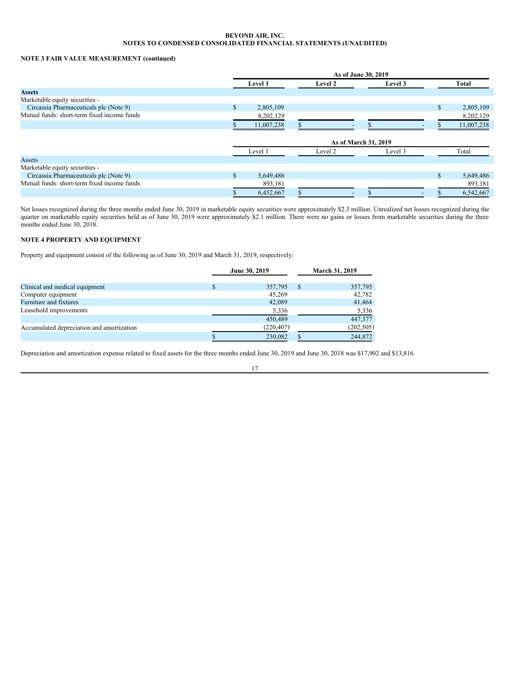# **NOTE 3 FAIR VALUE MEASUREMENT (continued)**

|                                             |    | As of June 30, 2019  |  |         |  |         |    |            |  |
|---------------------------------------------|----|----------------------|--|---------|--|---------|----|------------|--|
|                                             |    | Level 1              |  | Level 2 |  | Level 3 |    | Total      |  |
| <b>Assets</b>                               |    |                      |  |         |  |         |    |            |  |
| Marketable equity securities -              |    |                      |  |         |  |         |    |            |  |
| Circassia Pharmaceuticals plc (Note 9)      | S. | 2,805,109            |  |         |  |         | S. | 2,805,109  |  |
| Mutual funds: short-term fixed income funds |    | 8,202,129            |  |         |  |         |    | 8,202,129  |  |
|                                             |    | 11,007,238           |  |         |  |         |    | 11,007,238 |  |
|                                             |    | As of March 31, 2019 |  |         |  |         |    |            |  |
|                                             |    | Level 1              |  | Level 2 |  | Level 3 |    | Total      |  |
| Assets                                      |    |                      |  |         |  |         |    |            |  |
| Marketable equity securities -              |    |                      |  |         |  |         |    |            |  |
| Circassia Pharmaceuticals plc (Note 9)      |    | 5,649,486            |  |         |  |         | S  | 5,649,486  |  |
| Mutual funds: short-term fixed income funds |    | 893,181              |  |         |  |         |    | 893,181    |  |
|                                             |    | 6,452,667            |  |         |  |         |    | 6.542.667  |  |

Net losses recognized during the three months ended June 30, 2019 in marketable equity securities were approximately \$2.3 million. Unrealized net losses recognized during the quarter on marketable equity securities held as of June 30, 2019 were approximately \$2.1 million. There were no gains or losses from marketable securities during the three months ended June 30, 2018.

# **NOTE 4 PROPERTY AND EQUIPMENT**

Property and equipment consist of the following as of June 30, 2019 and March 31, 2019, respectively:

|                                           | June 30, 2019 |            |   | March 31, 2019 |  |  |
|-------------------------------------------|---------------|------------|---|----------------|--|--|
|                                           |               |            |   |                |  |  |
| Clinical and medical equipment            |               | 357,795    | S | 357,795        |  |  |
| Computer equipment                        |               | 45,269     |   | 42,782         |  |  |
| Furniture and fixtures                    |               | 42,089     |   | 41,464         |  |  |
| Leasehold improvements                    |               | 5,336      |   | 5,336          |  |  |
|                                           |               | 450,489    |   | 447,377        |  |  |
| Accumulated depreciation and amortization |               | (220, 407) |   | (202, 505)     |  |  |
|                                           |               | 230,082    |   | 244,872        |  |  |

Depreciation and amortization expense related to fixed assets for the three months ended June 30, 2019 and June 30, 2018 was \$17,902 and \$13,816.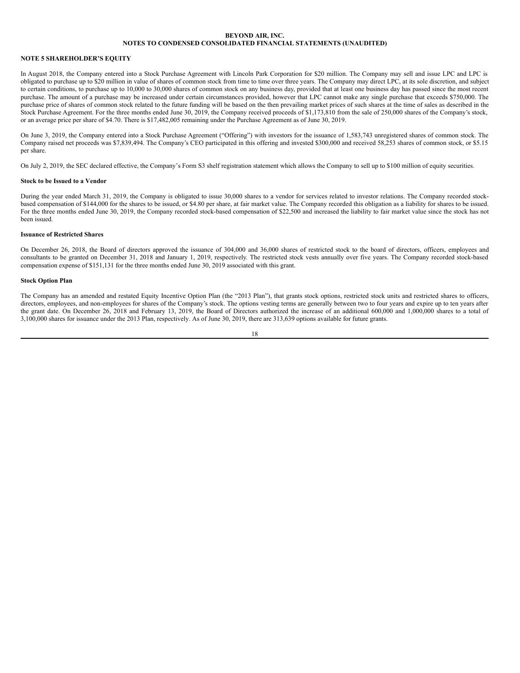# **NOTE 5 SHAREHOLDER'S EQUITY**

In August 2018, the Company entered into a Stock Purchase Agreement with Lincoln Park Corporation for \$20 million. The Company may sell and issue LPC and LPC is obligated to purchase up to \$20 million in value of shares of common stock from time to time over three years. The Company may direct LPC, at its sole discretion, and subject to certain conditions, to purchase up to 10,000 to 30,000 shares of common stock on any business day, provided that at least one business day has passed since the most recent purchase. The amount of a purchase may be increased under certain circumstances provided, however that LPC cannot make any single purchase that exceeds \$750,000. The purchase price of shares of common stock related to the future funding will be based on the then prevailing market prices of such shares at the time of sales as described in the Stock Purchase Agreement. For the three months ended June 30, 2019, the Company received proceeds of \$1,173,810 from the sale of 250,000 shares of the Company's stock, or an average price per share of \$4.70. There is \$17,482,005 remaining under the Purchase Agreement as of June 30, 2019.

On June 3, 2019, the Company entered into a Stock Purchase Agreement ("Offering") with investors for the issuance of 1,583,743 unregistered shares of common stock. The Company raised net proceeds was \$7,839,494. The Company's CEO participated in this offering and invested \$300,000 and received 58,253 shares of common stock, or \$5.15 per share.

On July 2, 2019, the SEC declared effective, the Company's Form S3 shelf registration statement which allows the Company to sell up to \$100 million of equity securities.

# **Stock to be Issued to a Vendor**

During the year ended March 31, 2019, the Company is obligated to issue 30,000 shares to a vendor for services related to investor relations. The Company recorded stockbased compensation of \$144,000 for the shares to be issued, or \$4.80 per share, at fair market value. The Company recorded this obligation as a liability for shares to be issued. For the three months ended June 30, 2019, the Company recorded stock-based compensation of \$22,500 and increased the liability to fair market value since the stock has not been issued.

#### **Issuance of Restricted Shares**

On December 26, 2018, the Board of directors approved the issuance of 304,000 and 36,000 shares of restricted stock to the board of directors, officers, employees and consultants to be granted on December 31, 2018 and January 1, 2019, respectively. The restricted stock vests annually over five years. The Company recorded stock-based compensation expense of \$151,131 for the three months ended June 30, 2019 associated with this grant.

# **Stock Option Plan**

The Company has an amended and restated Equity Incentive Option Plan (the "2013 Plan"), that grants stock options, restricted stock units and restricted shares to officers, directors, employees, and non-employees for shares of the Company's stock. The options vesting terms are generally between two to four years and expire up to ten years after the grant date. On December 26, 2018 and February 13, 2019, the Board of Directors authorized the increase of an additional 600,000 and 1,000,000 shares to a total of 3,100,000 shares for issuance under the 2013 Plan, respectively. As of June 30, 2019, there are 313,639 options available for future grants.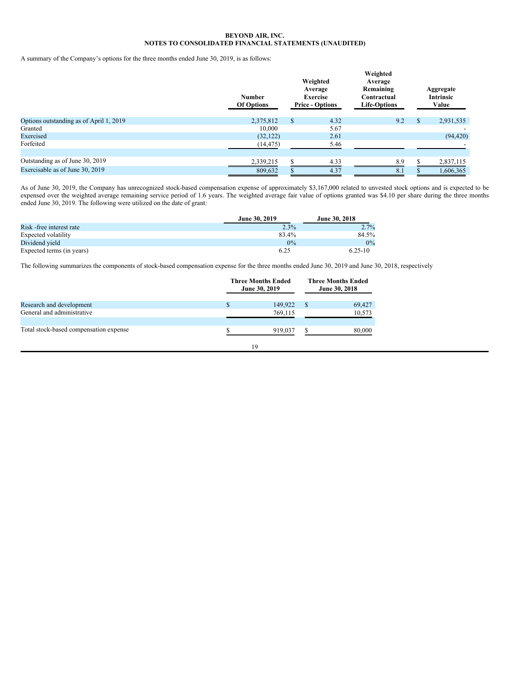A summary of the Company's options for the three months ended June 30, 2019, is as follows:

|                                         | <b>Number</b><br><b>Of Options</b> |   | Weighted<br>Average<br><b>Exercise</b><br><b>Price - Options</b> | Weighted<br>Average<br>Remaining<br>Contractual<br><b>Life-Options</b> |               | Aggregate<br><b>Intrinsic</b><br>Value |
|-----------------------------------------|------------------------------------|---|------------------------------------------------------------------|------------------------------------------------------------------------|---------------|----------------------------------------|
| Options outstanding as of April 1, 2019 | 2,375,812                          | S | 4.32                                                             | 9.2                                                                    | <sup>\$</sup> | 2,931,535                              |
| Granted                                 | 10,000                             |   | 5.67                                                             |                                                                        |               |                                        |
| Exercised                               | (32, 122)                          |   | 2.61                                                             |                                                                        |               | (94, 420)                              |
| Forfeited                               | (14, 475)                          |   | 5.46                                                             |                                                                        |               |                                        |
| Outstanding as of June 30, 2019         | 2,339,215                          |   | 4.33                                                             | 8.9                                                                    |               | 2,837,115                              |
| Exercisable as of June 30, 2019         | 809,632                            |   | 4.37                                                             | 8.1                                                                    |               | 1,606,365                              |

As of June 30, 2019, the Company has unrecognized stock-based compensation expense of approximately \$3,167,000 related to unvested stock options and is expected to be expensed over the weighted average remaining service period of 1.6 years. The weighted average fair value of options granted was \$4.10 per share during the three months ended June 30, 2019. The following were utilized on the date of grant:

|                           | June 30, 2019 | <b>June 30, 2018</b> |
|---------------------------|---------------|----------------------|
| Risk - free interest rate | 2.3%          | $2.7\%$              |
| Expected volatility       | 83.4%         | 84.5%                |
| Dividend yield            | $0\%$         | $0\%$                |
| Expected terms (in years) |               | $6.25 - 10$          |

The following summarizes the components of stock-based compensation expense for the three months ended June 30, 2019 and June 30, 2018, respectively

|                                        | <b>Three Months Ended</b><br>June 30, 2019 |   | <b>Three Months Ended</b><br>June 30, 2018 |
|----------------------------------------|--------------------------------------------|---|--------------------------------------------|
| Research and development               | 149,922                                    | S | 69,427                                     |
| General and administrative             | 769,115                                    |   | 10,573                                     |
| Total stock-based compensation expense | 919.037                                    |   | 80,000                                     |
|                                        | 19                                         |   |                                            |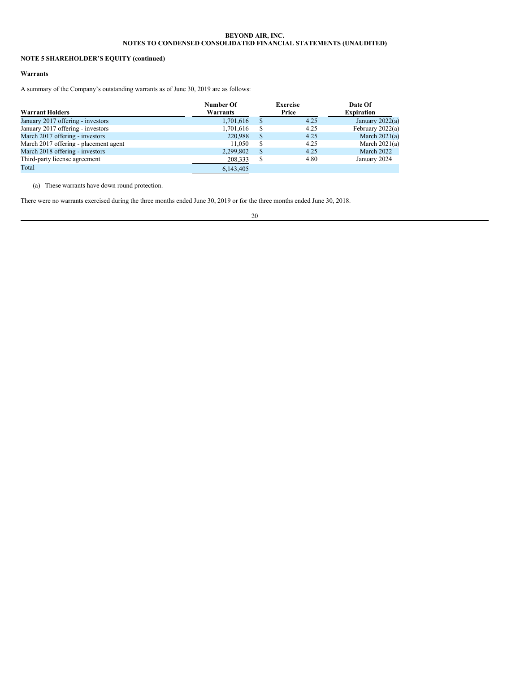# **NOTE 5 SHAREHOLDER'S EQUITY (continued)**

# **Warrants**

A summary of the Company's outstanding warrants as of June 30, 2019 are as follows:

|                                       | <b>Number Of</b> |          | <b>Exercise</b> | Date Of            |
|---------------------------------------|------------------|----------|-----------------|--------------------|
| <b>Warrant Holders</b>                | Warrants         |          | Price           | <b>Expiration</b>  |
| January 2017 offering - investors     | 1,701,616        |          | 4.25            | January $2022(a)$  |
| January 2017 offering - investors     | 1,701,616        |          | 4.25            | February $2022(a)$ |
| March 2017 offering - investors       | 220,988          | <b>S</b> | 4.25            | March $2021(a)$    |
| March 2017 offering - placement agent | 11.050           | \$.      | 4.25            | March $2021(a)$    |
| March 2018 offering - investors       | 2,299,802        | <b>S</b> | 4.25            | March 2022         |
| Third-party license agreement         | 208,333          | S        | 4.80            | January 2024       |
| Total                                 | 6.143.405        |          |                 |                    |

(a) These warrants have down round protection.

There were no warrants exercised during the three months ended June 30, 2019 or for the three months ended June 30, 2018.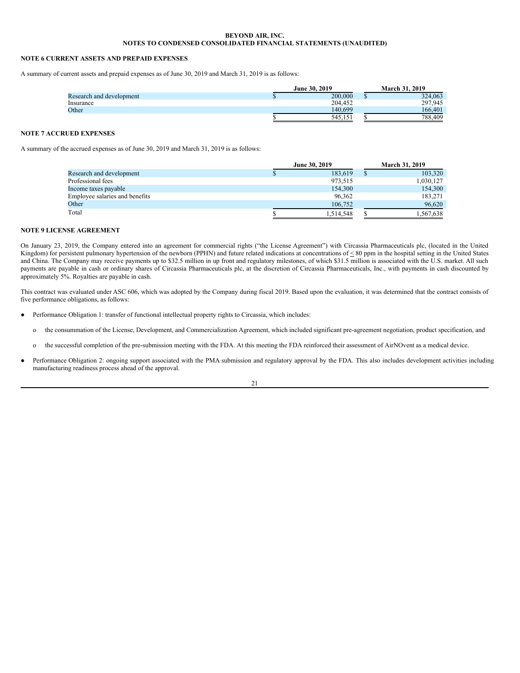# **NOTE 6 CURRENT ASSETS AND PREPAID EXPENSES**

A summary of current assets and prepaid expenses as of June 30, 2019 and March 31, 2019 is as follows:

|                          | June 30, 2019 | <b>March 31, 2019</b> |
|--------------------------|---------------|-----------------------|
| Research and development | 200,000       | 324,063               |
| Insurance                | 204.452       | 297.945               |
| Other                    | 140.699       | 166,401               |
|                          | 545.15        | 788,409               |

# **NOTE 7 ACCRUED EXPENSES**

A summary of the accrued expenses as of June 30, 2019 and March 31, 2019 is as follows:

|                                | June 30, 2019 | <b>March 31, 2019</b> |
|--------------------------------|---------------|-----------------------|
| Research and development       | 183.619       | 103,320               |
| Professional fees              | 973,515       | 1,030,127             |
| Income taxes payable           | 154,300       | 154,300               |
| Employee salaries and benefits | 96.362        | 183,271               |
| Other                          | 106.752       | 96.620                |
| Total                          | 1.514.548     | 1,567,638             |

# **NOTE 9 LICENSE AGREEMENT**

On January 23, 2019, the Company entered into an agreement for commercial rights ("the License Agreement") with Circassia Pharmaceuticals plc, (located in the United Kingdom) for persistent pulmonary hypertension of the newborn (PPHN) and future related indications at concentrations of  $\leq 80$  ppm in the hospital setting in the United States and China. The Company may receive payments up to \$32.5 million in up front and regulatory milestones, of which \$31.5 million is associated with the U.S. market. All such payments are payable in cash or ordinary shares of Circassia Pharmaceuticals plc, at the discretion of Circassia Pharmaceuticals, Inc., with payments in cash discounted by approximately 5%. Royalties are payable in cash.

This contract was evaluated under ASC 606, which was adopted by the Company during fiscal 2019. Based upon the evaluation, it was determined that the contract consists of five performance obligations, as follows:

- Performance Obligation 1: transfer of functional intellectual property rights to Circassia, which includes:
	- o the consummation of the License, Development, and Commercialization Agreement, which included significant pre-agreement negotiation, product specification, and
	- o the successful completion of the pre-submission meeting with the FDA. At this meeting the FDA reinforced their assessment of AirNOvent as a medical device.
- Performance Obligation 2: ongoing support associated with the PMA submission and regulatory approval by the FDA. This also includes development activities including manufacturing readiness process ahead of the approval.

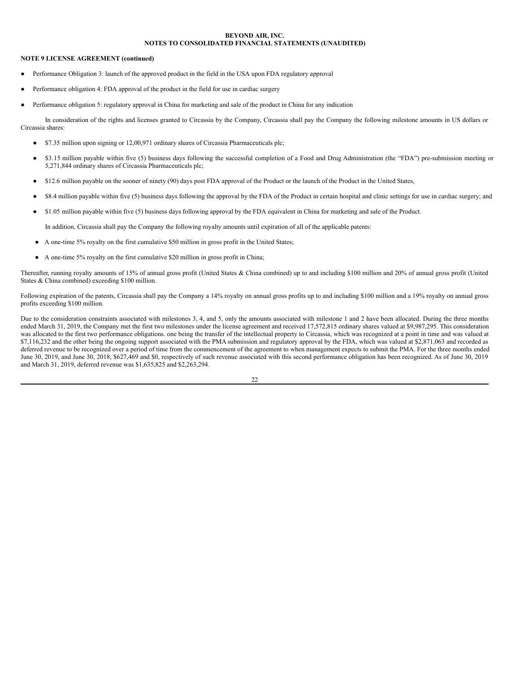# **NOTE 9 LICENSE AGREEMENT (continued)**

- Performance Obligation 3: launch of the approved product in the field in the USA upon FDA regulatory approval
- Performance obligation 4: FDA approval of the product in the field for use in cardiac surgery
- Performance obligation 5: regulatory approval in China for marketing and sale of the product in China for any indication

In consideration of the rights and licenses granted to Circassia by the Company, Circassia shall pay the Company the following milestone amounts in US dollars or Circassia shares:

- \$7.35 million upon signing or 12,00,971 ordinary shares of Circassia Pharmaceuticals plc;
- \$3.15 million payable within five (5) business days following the successful completion of a Food and Drug Administration (the "FDA") pre-submission meeting or 5,271,844 ordinary shares of Circassia Pharmaceuticals plc;
- \$12.6 million payable on the sooner of ninety (90) days post FDA approval of the Product or the launch of the Product in the United States,
- \$8.4 million payable within five (5) business days following the approval by the FDA of the Product in certain hospital and clinic settings for use in cardiac surgery; and
- \$1.05 million payable within five (5) business days following approval by the FDA equivalent in China for marketing and sale of the Product.

In addition, Circassia shall pay the Company the following royalty amounts until expiration of all of the applicable patents:

- A one-time 5% royalty on the first cumulative \$50 million in gross profit in the United States;
- A one-time 5% royalty on the first cumulative \$20 million in gross profit in China;

Thereafter, running royalty amounts of 15% of annual gross profit (United States & China combined) up to and including \$100 million and 20% of annual gross profit (United States & China combined) exceeding \$100 million.

Following expiration of the patents, Circassia shall pay the Company a 14% royalty on annual gross profits up to and including \$100 million and a 19% royalty on annual gross profits exceeding \$100 million.

Due to the consideration constraints associated with milestones 3, 4, and 5, only the amounts associated with milestone 1 and 2 have been allocated. During the three months ended March 31, 2019, the Company met the first two milestones under the license agreement and received 17,572,815 ordinary shares valued at \$9,987,295. This consideration was allocated to the first two performance obligations. one being the transfer of the intellectual property to Circassia, which was recognized at a point in time and was valued at \$7,116,232 and the other being the ongoing support associated with the PMA submission and regulatory approval by the FDA, which was valued at \$2,871,063 and recorded as deferred revenue to be recognized over a period of time from the commencement of the agreement to when management expects to submit the PMA. For the three months ended June 30, 2019, and June 30, 2018, \$627,469 and \$0, respectively of such revenue associated with this second performance obligation has been recognized. As of June 30, 2019 and March 31, 2019, deferred revenue was \$1,635,825 and \$2,263,294.

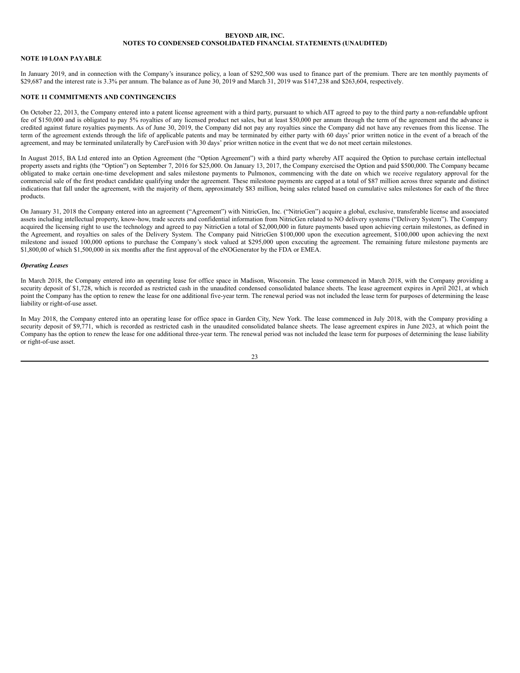# **NOTE 10 LOAN PAYABLE**

In January 2019, and in connection with the Company's insurance policy, a loan of \$292,500 was used to finance part of the premium. There are ten monthly payments of \$29,687 and the interest rate is 3.3% per annum. The balance as of June 30, 2019 and March 31, 2019 was \$147,238 and \$263,604, respectively.

# **NOTE 11 COMMITMENTS AND CONTINGENCIES**

On October 22, 2013, the Company entered into a patent license agreement with a third party, pursuant to which AIT agreed to pay to the third party a non-refundable upfront fee of \$150,000 and is obligated to pay 5% royalties of any licensed product net sales, but at least \$50,000 per annum through the term of the agreement and the advance is credited against future royalties payments. As of June 30, 2019, the Company did not pay any royalties since the Company did not have any revenues from this license. The term of the agreement extends through the life of applicable patents and may be terminated by either party with 60 days' prior written notice in the event of a breach of the agreement, and may be terminated unilaterally by CareFusion with 30 days' prior written notice in the event that we do not meet certain milestones.

In August 2015, BA Ltd entered into an Option Agreement (the "Option Agreement") with a third party whereby AIT acquired the Option to purchase certain intellectual property assets and rights (the "Option") on September 7, 2016 for \$25,000. On January 13, 2017, the Company exercised the Option and paid \$500,000. The Company became obligated to make certain one-time development and sales milestone payments to Pulmonox, commencing with the date on which we receive regulatory approval for the commercial sale of the first product candidate qualifying under the agreement. These milestone payments are capped at a total of \$87 million across three separate and distinct indications that fall under the agreement, with the majority of them, approximately \$83 million, being sales related based on cumulative sales milestones for each of the three products.

On January 31, 2018 the Company entered into an agreement ("Agreement") with NitricGen, Inc. ("NitricGen") acquire a global, exclusive, transferable license and associated assets including intellectual property, know-how, trade secrets and confidential information from NitricGen related to NO delivery systems ("Delivery System"). The Company acquired the licensing right to use the technology and agreed to pay NitricGen a total of \$2,000,000 in future payments based upon achieving certain milestones, as defined in the Agreement, and royalties on sales of the Delivery System. The Company paid NitricGen \$100,000 upon the execution agreement, \$100,000 upon achieving the next milestone and issued 100,000 options to purchase the Company's stock valued at \$295,000 upon executing the agreement. The remaining future milestone payments are \$1,800,00 of which \$1,500,000 in six months after the first approval of the eNOGenerator by the FDA or EMEA.

# *Operating Leases*

In March 2018, the Company entered into an operating lease for office space in Madison, Wisconsin. The lease commenced in March 2018, with the Company providing a security deposit of \$1,728, which is recorded as restricted cash in the unaudited condensed consolidated balance sheets. The lease agreement expires in April 2021, at which point the Company has the option to renew the lease for one additional five-year term. The renewal period was not included the lease term for purposes of determining the lease liability or right-of-use asset.

In May 2018, the Company entered into an operating lease for office space in Garden City, New York. The lease commenced in July 2018, with the Company providing a security deposit of \$9,771, which is recorded as restricted cash in the unaudited consolidated balance sheets. The lease agreement expires in June 2023, at which point the Company has the option to renew the lease for one additional three-year term. The renewal period was not included the lease term for purposes of determining the lease liability or right-of-use asset.

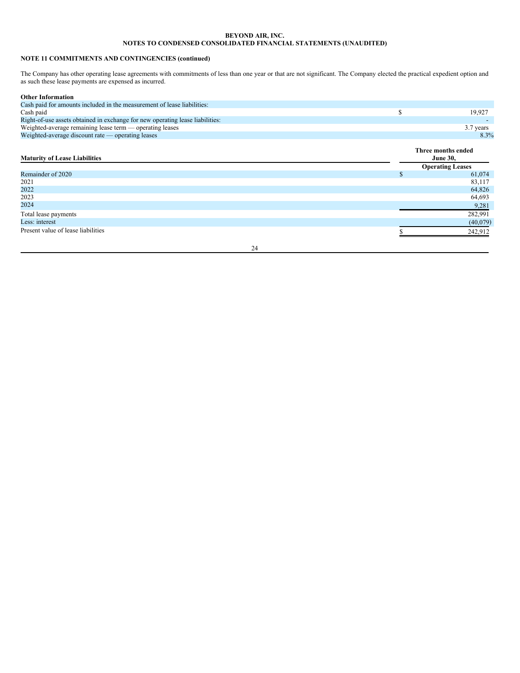# **NOTE 11 COMMITMENTS AND CONTINGENCIES (continued)**

The Company has other operating lease agreements with commitments of less than one year or that are not significant. The Company elected the practical expedient option and as such these lease payments are expensed as incurred.

| <b>Other Information</b>                                                      |                                       |
|-------------------------------------------------------------------------------|---------------------------------------|
| Cash paid for amounts included in the measurement of lease liabilities:       |                                       |
| Cash paid                                                                     | 19,927                                |
| Right-of-use assets obtained in exchange for new operating lease liabilities: |                                       |
| Weighted-average remaining lease term — operating leases                      | 3.7 years                             |
| Weighted-average discount rate — operating leases                             | 8.3%                                  |
| <b>Maturity of Lease Liabilities</b>                                          | Three months ended<br><b>June 30.</b> |
|                                                                               | <b>Operating Leases</b>               |
| Remainder of 2020                                                             | 61.074                                |

| $K$ unamuu 01 2020                 | 01,07<br>Φ |
|------------------------------------|------------|
| 2021                               | 83,117     |
| 2022                               | 64,826     |
| 2023                               | 64,693     |
| 2024                               | 9,281      |
| Total lease payments               | 282,991    |
| Less: interest                     | (40,079)   |
| Present value of lease liabilities | 242,912    |
|                                    |            |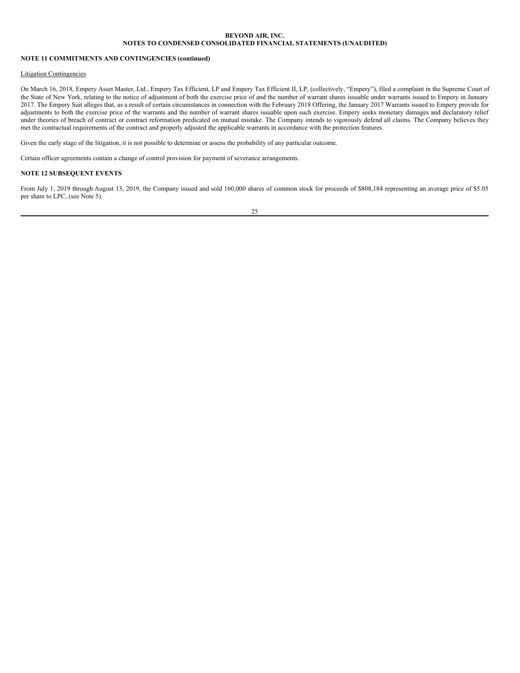# **NOTE 11 COMMITMENTS AND CONTINGENCIES (continued)**

# Litigation Contingencies

On March 16, 2018, Empery Asset Master, Ltd., Empery Tax Efficient, LP and Empery Tax Efficient II, LP, (collectively, "Empery"), filed a complaint in the Supreme Court of the State of New York, relating to the notice of adjustment of both the exercise price of and the number of warrant shares issuable under warrants issued to Empery in January 2017. The Empery Suit alleges that, as a result of certain circumstances in connection with the February 2018 Offering, the January 2017 Warrants issued to Empery provide for adjustments to both the exercise price of the warrants and the number of warrant shares issuable upon such exercise. Empery seeks monetary damages and declaratory relief under theories of breach of contract or contract reformation predicated on mutual mistake. The Company intends to vigorously defend all claims. The Company believes they met the contractual requirements of the contract and properly adjusted the applicable warrants in accordance with the protection features.

Given the early stage of the litigation, it is not possible to determine or assess the probability of any particular outcome.

Certain officer agreements contain a change of control provision for payment of severance arrangements.

# **NOTE 12 SUBSEQUENT EVENTS**

From July 1, 2019 through August 13, 2019, the Company issued and sold 160,000 shares of common stock for proceeds of \$808,184 representing an average price of \$5.05 per share to LPC, (see Note 5).

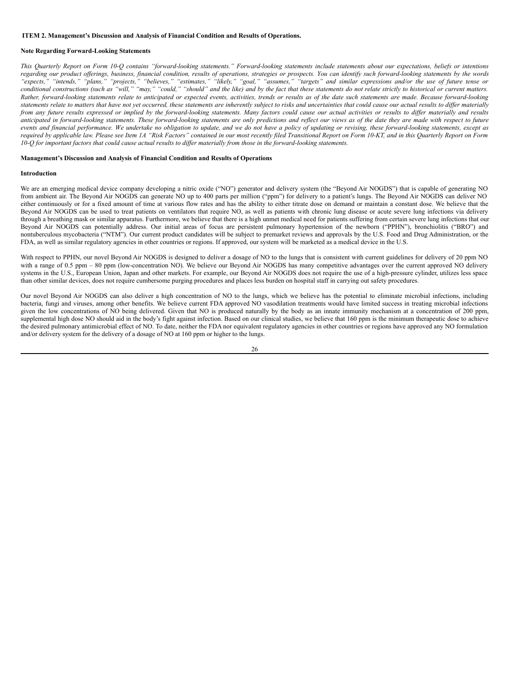# <span id="page-25-0"></span>**ITEM 2. Management's Discussion and Analysis of Financial Condition and Results of Operations.**

# **Note Regarding Forward-Looking Statements**

This Quarterly Report on Form 10-Q contains "forward-looking statements." Forward-looking statements include statements about our expectations, beliefs or intentions regarding our product offerings, business, financial condition, results of operations, strategies or prospects. You can identify such forward-looking statements by the words "expects," "intends," "plans," "projects," "believes," "estimates," "likely," "goal," "assumes," "targets" and similar expressions and/or the use of future tense or conditional constructions (such as "will," "may," "could," "should" and the like) and by the fact that these statements do not relate strictly to historical or current matters. Rather, forward-looking statements relate to anticipated or expected events, activities, trends or results as of the date such statements are made. Because forward-looking statements relate to matters that have not yet occurred, these statements are inherently subject to risks and uncertainties that could cause our actual results to differ materially from any future results expressed or implied by the forward-looking statements. Many factors could cause our actual activities or results to differ materially and results anticipated in forward-looking statements. These forward-looking statements are only predictions and reflect our views as of the date they are made with respect to future events and financial performance. We undertake no obligation to update, and we do not have a policy of updating or revising, these forward-looking statements, except as required by applicable law. Please see Item 1A "Risk Factors" contained in our most recently filed Transitional Report on Form 10-KT, and in this Quarterly Report on Form 10-Q for important factors that could cause actual results to differ materially from those in the forward-looking statements.

## **Management's Discussion and Analysis of Financial Condition and Results of Operations**

#### **Introduction**

We are an emerging medical device company developing a nitric oxide ("NO") generator and delivery system (the "Beyond Air NOGDS") that is capable of generating NO from ambient air. The Beyond Air NOGDS can generate NO up to 400 parts per million ("ppm") for delivery to a patient's lungs. The Beyond Air NOGDS can deliver NO either continuously or for a fixed amount of time at various flow rates and has the ability to either titrate dose on demand or maintain a constant dose. We believe that the Beyond Air NOGDS can be used to treat patients on ventilators that require NO, as well as patients with chronic lung disease or acute severe lung infections via delivery through a breathing mask or similar apparatus. Furthermore, we believe that there is a high unmet medical need for patients suffering from certain severe lung infections that our Beyond Air NOGDS can potentially address. Our initial areas of focus are persistent pulmonary hypertension of the newborn ("PPHN"), bronchiolitis ("BRO") and nontuberculous mycobacteria ("NTM")*.* Our current product candidates will be subject to premarket reviews and approvals by the U.S. Food and Drug Administration, or the FDA, as well as similar regulatory agencies in other countries or regions. If approved, our system will be marketed as a medical device in the U.S.

With respect to PPHN, our novel Beyond Air NOGDS is designed to deliver a dosage of NO to the lungs that is consistent with current guidelines for delivery of 20 ppm NO with a range of 0.5 ppm – 80 ppm (low-concentration NO). We believe our Beyond Air NOGDS has many competitive advantages over the current approved NO delivery systems in the U.S., European Union, Japan and other markets. For example, our Beyond Air NOGDS does not require the use of a high-pressure cylinder, utilizes less space than other similar devices, does not require cumbersome purging procedures and places less burden on hospital staff in carrying out safety procedures.

Our novel Beyond Air NOGDS can also deliver a high concentration of NO to the lungs, which we believe has the potential to eliminate microbial infections, including bacteria, fungi and viruses, among other benefits. We believe current FDA approved NO vasodilation treatments would have limited success in treating microbial infections given the low concentrations of NO being delivered. Given that NO is produced naturally by the body as an innate immunity mechanism at a concentration of 200 ppm, supplemental high dose NO should aid in the body's fight against infection. Based on our clinical studies, we believe that 160 ppm is the minimum therapeutic dose to achieve the desired pulmonary antimicrobial effect of NO. To date, neither the FDA nor equivalent regulatory agencies in other countries or regions have approved any NO formulation and/or delivery system for the delivery of a dosage of NO at 160 ppm or higher to the lungs.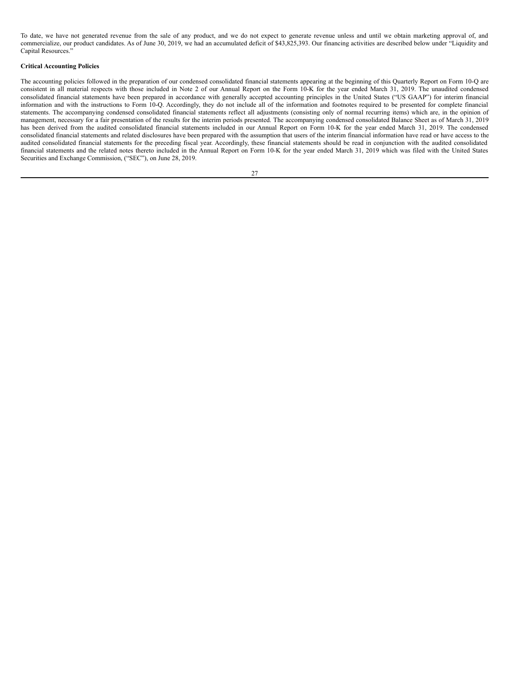To date, we have not generated revenue from the sale of any product, and we do not expect to generate revenue unless and until we obtain marketing approval of, and commercialize, our product candidates. As of June 30, 2019, we had an accumulated deficit of \$43,825,393. Our financing activities are described below under "Liquidity and Capital Resources."

## **Critical Accounting Policies**

The accounting policies followed in the preparation of our condensed consolidated financial statements appearing at the beginning of this Quarterly Report on Form 10-Q are consistent in all material respects with those included in Note 2 of our Annual Report on the Form 10-K for the year ended March 31, 2019. The unaudited condensed consolidated financial statements have been prepared in accordance with generally accepted accounting principles in the United States ("US GAAP") for interim financial information and with the instructions to Form 10-Q. Accordingly, they do not include all of the information and footnotes required to be presented for complete financial statements. The accompanying condensed consolidated financial statements reflect all adjustments (consisting only of normal recurring items) which are, in the opinion of management, necessary for a fair presentation of the results for the interim periods presented. The accompanying condensed consolidated Balance Sheet as of March 31, 2019 has been derived from the audited consolidated financial statements included in our Annual Report on Form 10-K for the year ended March 31, 2019. The condensed consolidated financial statements and related disclosures have been prepared with the assumption that users of the interim financial information have read or have access to the audited consolidated financial statements for the preceding fiscal year. Accordingly, these financial statements should be read in conjunction with the audited consolidated financial statements and the related notes thereto included in the Annual Report on Form 10-K for the year ended March 31, 2019 which was filed with the United States Securities and Exchange Commission, ("SEC"), on June 28, 2019.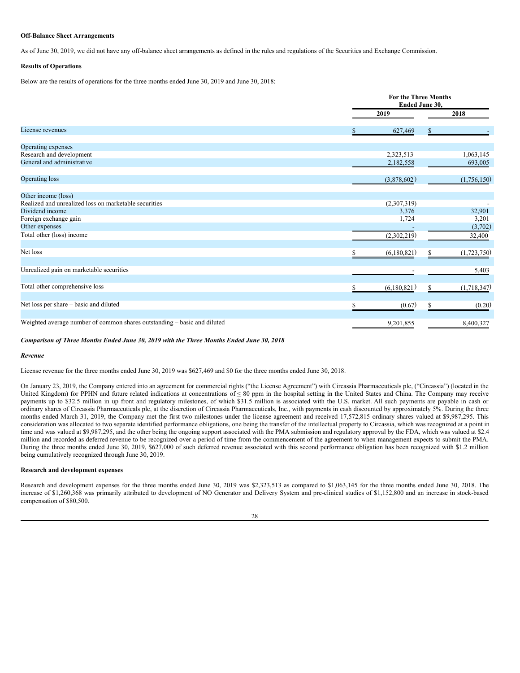# **Off-Balance Sheet Arrangements**

As of June 30, 2019, we did not have any off-balance sheet arrangements as defined in the rules and regulations of the Securities and Exchange Commission.

#### **Results of Operations**

Below are the results of operations for the three months ended June 30, 2019 and June 30, 2018:

|                                                                          |      | <b>For the Three Months</b><br>Ended June 30, |  |  |
|--------------------------------------------------------------------------|------|-----------------------------------------------|--|--|
|                                                                          | 2019 | 2018                                          |  |  |
| License revenues                                                         |      | 627,469                                       |  |  |
| Operating expenses                                                       |      |                                               |  |  |
| Research and development                                                 |      | 2,323,513<br>1,063,145                        |  |  |
| General and administrative                                               |      | 2,182,558<br>693,005                          |  |  |
| Operating loss                                                           |      | (3,878,602)<br>(1,756,150)                    |  |  |
| Other income (loss)                                                      |      |                                               |  |  |
| Realized and unrealized loss on marketable securities                    |      | (2,307,319)                                   |  |  |
| Dividend income                                                          |      | 32,901<br>3,376                               |  |  |
| Foreign exchange gain                                                    |      | 1,724<br>3,201                                |  |  |
| Other expenses                                                           |      | (3,702)                                       |  |  |
| Total other (loss) income                                                |      | (2,302,219)<br>32,400                         |  |  |
| Net loss                                                                 |      | (6,180,821)<br>(1,723,750)                    |  |  |
| Unrealized gain on marketable securities                                 |      | 5,403                                         |  |  |
| Total other comprehensive loss                                           |      | (6,180,821)<br>(1,718,347)<br>S               |  |  |
| Net loss per share - basic and diluted                                   |      | (0.67)<br>(0.20)                              |  |  |
| Weighted average number of common shares outstanding - basic and diluted |      | 9,201,855<br>8,400,327                        |  |  |

# *Comparison of Three Months Ended June 30, 2019 with the Three Months Ended June 30, 2018*

#### *Revenue*

License revenue for the three months ended June 30, 2019 was \$627,469 and \$0 for the three months ended June 30, 2018.

On January 23, 2019, the Company entered into an agreement for commercial rights ("the License Agreement") with Circassia Pharmaceuticals plc, ("Circassia") (located in the United Kingdom) for PPHN and future related indications at concentrations of  $\leq 80$  ppm in the hospital setting in the United States and China. The Company may receive payments up to \$32.5 million in up front and regulatory milestones, of which \$31.5 million is associated with the U.S. market. All such payments are payable in cash or ordinary shares of Circassia Pharmaceuticals plc, at the discretion of Circassia Pharmaceuticals, Inc., with payments in cash discounted by approximately 5%. During the three months ended March 31, 2019, the Company met the first two milestones under the license agreement and received 17,572,815 ordinary shares valued at \$9,987,295. This consideration was allocated to two separate identified performance obligations, one being the transfer of the intellectual property to Circassia, which was recognized at a point in time and was valued at \$9,987,295, and the other being the ongoing support associated with the PMA submission and regulatory approval by the FDA, which was valued at \$2.4 million and recorded as deferred revenue to be recognized over a period of time from the commencement of the agreement to when management expects to submit the PMA. During the three months ended June 30, 2019, \$627,000 of such deferred revenue associated with this second performance obligation has been recognized with \$1.2 million being cumulatively recognized through June 30, 2019.

#### **Research and development expenses**

Research and development expenses for the three months ended June 30, 2019 was \$2,323,513 as compared to \$1,063,145 for the three months ended June 30, 2018. The increase of \$1,260,368 was primarily attributed to development of NO Generator and Delivery System and pre-clinical studies of \$1,152,800 and an increase in stock-based compensation of \$80,500.

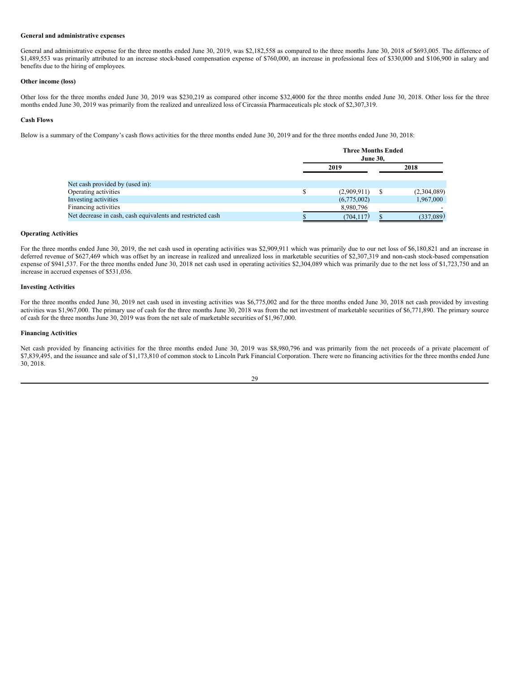# **General and administrative expenses**

General and administrative expense for the three months ended June 30, 2019, was \$2,182,558 as compared to the three months June 30, 2018 of \$693,005. The difference of \$1,489,553 was primarily attributed to an increase stock-based compensation expense of \$760,000, an increase in professional fees of \$330,000 and \$106,900 in salary and benefits due to the hiring of employees.

#### **Other income (loss)**

Other loss for the three months ended June 30, 2019 was \$230,219 as compared other income \$32,4000 for the three months ended June 30, 2018. Other loss for the three months ended June 30, 2019 was primarily from the realized and unrealized loss of Circassia Pharmaceuticals plc stock of \$2,307,319.

### **Cash Flows**

Below is a summary of the Company's cash flows activities for the three months ended June 30, 2019 and for the three months ended June 30, 2018:

|                                                            | <b>Three Months Ended</b><br><b>June 30.</b> |   |             |
|------------------------------------------------------------|----------------------------------------------|---|-------------|
|                                                            | 2019                                         |   | 2018        |
| Net cash provided by (used in):                            |                                              |   |             |
| Operating activities                                       | (2,909,911)                                  | S | (2,304,089) |
| Investing activities                                       | (6,775,002)                                  |   | 1,967,000   |
| Financing activities                                       | 8,980,796                                    |   |             |
| Net decrease in cash, cash equivalents and restricted cash | (704, 117)                                   |   | (337,089)   |

# **Operating Activities**

For the three months ended June 30, 2019, the net cash used in operating activities was \$2,909,911 which was primarily due to our net loss of \$6,180,821 and an increase in deferred revenue of \$627,469 which was offset by an increase in realized and unrealized loss in marketable securities of \$2,307,319 and non-cash stock-based compensation expense of \$941,537. For the three months ended June 30, 2018 net cash used in operating activities \$2,304,089 which was primarily due to the net loss of \$1,723,750 and an increase in accrued expenses of \$531,036.

#### **Investing Activities**

For the three months ended June 30, 2019 net cash used in investing activities was \$6,775,002 and for the three months ended June 30, 2018 net cash provided by investing activities was \$1,967,000. The primary use of cash for the three months June 30, 2018 was from the net investment of marketable securities of \$6,771,890. The primary source of cash for the three months June 30, 2019 was from the net sale of marketable securities of \$1,967,000.

## **Financing Activities**

Net cash provided by financing activities for the three months ended June 30, 2019 was \$8,980,796 and was primarily from the net proceeds of a private placement of \$7,839,495, and the issuance and sale of \$1,173,810 of common stock to Lincoln Park Financial Corporation. There were no financing activities for the three months ended June 30, 2018.

29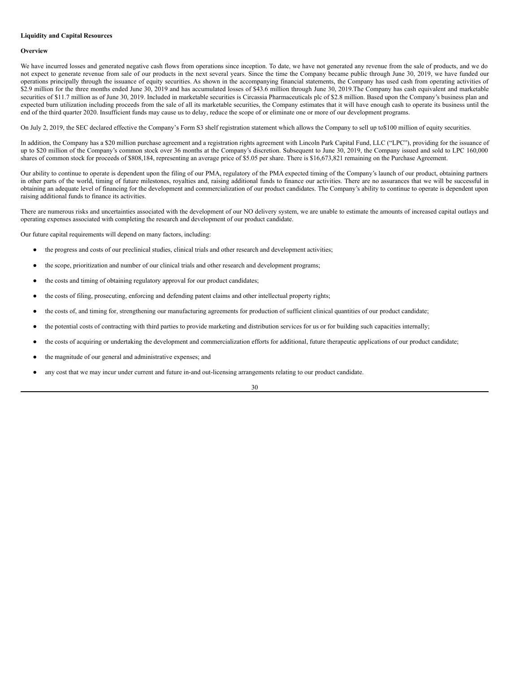# **Liquidity and Capital Resources**

# **Overview**

We have incurred losses and generated negative cash flows from operations since inception. To date, we have not generated any revenue from the sale of products, and we do not expect to generate revenue from sale of our products in the next several years. Since the time the Company became public through June 30, 2019, we have funded our operations principally through the issuance of equity securities. As shown in the accompanying financial statements, the Company has used cash from operating activities of \$2.9 million for the three months ended June 30, 2019 and has accumulated losses of \$43.6 million through June 30, 2019.The Company has cash equivalent and marketable securities of \$11.7 million as of June 30, 2019. Included in marketable securities is Circassia Pharmaceuticals plc of \$2.8 million. Based upon the Company's business plan and expected burn utilization including proceeds from the sale of all its marketable securities, the Company estimates that it will have enough cash to operate its business until the end of the third quarter 2020. Insufficient funds may cause us to delay, reduce the scope of or eliminate one or more of our development programs.

On July 2, 2019, the SEC declared effective the Company's Form S3 shelf registration statement which allows the Company to sell up to\$100 million of equity securities.

In addition, the Company has a \$20 million purchase agreement and a registration rights agreement with Lincoln Park Capital Fund, LLC ("LPC"), providing for the issuance of up to \$20 million of the Company's common stock over 36 months at the Company's discretion. Subsequent to June 30, 2019, the Company issued and sold to LPC 160,000 shares of common stock for proceeds of \$808,184, representing an average price of \$5.05 per share. There is \$16,673,821 remaining on the Purchase Agreement.

Our ability to continue to operate is dependent upon the filing of our PMA, regulatory of the PMA expected timing of the Company's launch of our product, obtaining partners in other parts of the world, timing of future milestones, royalties and, raising additional funds to finance our activities. There are no assurances that we will be successful in obtaining an adequate level of financing for the development and commercialization of our product candidates. The Company's ability to continue to operate is dependent upon raising additional funds to finance its activities.

There are numerous risks and uncertainties associated with the development of our NO delivery system, we are unable to estimate the amounts of increased capital outlays and operating expenses associated with completing the research and development of our product candidate.

Our future capital requirements will depend on many factors, including:

- the progress and costs of our preclinical studies, clinical trials and other research and development activities;
- the scope, prioritization and number of our clinical trials and other research and development programs;
- the costs and timing of obtaining regulatory approval for our product candidates;
- the costs of filing, prosecuting, enforcing and defending patent claims and other intellectual property rights;
- the costs of, and timing for, strengthening our manufacturing agreements for production of sufficient clinical quantities of our product candidate;
- the potential costs of contracting with third parties to provide marketing and distribution services for us or for building such capacities internally;
- the costs of acquiring or undertaking the development and commercialization efforts for additional, future therapeutic applications of our product candidate;
- the magnitude of our general and administrative expenses; and
- any cost that we may incur under current and future in-and out-licensing arrangements relating to our product candidate.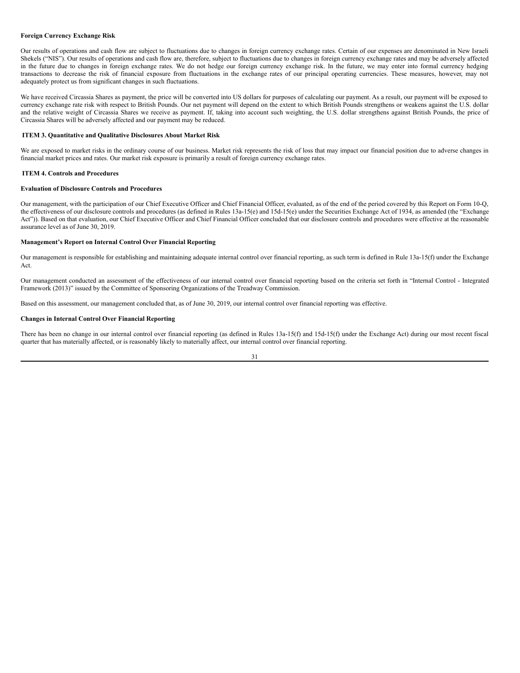# **Foreign Currency Exchange Risk**

Our results of operations and cash flow are subject to fluctuations due to changes in foreign currency exchange rates. Certain of our expenses are denominated in New Israeli Shekels ("NIS"). Our results of operations and cash flow are, therefore, subject to fluctuations due to changes in foreign currency exchange rates and may be adversely affected in the future due to changes in foreign exchange rates. We do not hedge our foreign currency exchange risk. In the future, we may enter into formal currency hedging transactions to decrease the risk of financial exposure from fluctuations in the exchange rates of our principal operating currencies. These measures, however, may not adequately protect us from significant changes in such fluctuations.

We have received Circassia Shares as payment, the price will be converted into US dollars for purposes of calculating our payment. As a result, our payment will be exposed to currency exchange rate risk with respect to British Pounds. Our net payment will depend on the extent to which British Pounds strengthens or weakens against the U.S. dollar and the relative weight of Circassia Shares we receive as payment. If, taking into account such weighting, the U.S. dollar strengthens against British Pounds, the price of Circassia Shares will be adversely affected and our payment may be reduced.

# <span id="page-30-0"></span>**ITEM 3. Quantitative and Qualitative Disclosures About Market Risk**

We are exposed to market risks in the ordinary course of our business. Market risk represents the risk of loss that may impact our financial position due to adverse changes in financial market prices and rates. Our market risk exposure is primarily a result of foreign currency exchange rates.

#### <span id="page-30-1"></span>**ITEM 4. Controls and Procedures**

### **Evaluation of Disclosure Controls and Procedures**

Our management, with the participation of our Chief Executive Officer and Chief Financial Officer, evaluated, as of the end of the period covered by this Report on Form 10-Q, the effectiveness of our disclosure controls and procedures (as defined in Rules 13a-15(e) and 15d-15(e) under the Securities Exchange Act of 1934, as amended (the "Exchange Act")). Based on that evaluation, our Chief Executive Officer and Chief Financial Officer concluded that our disclosure controls and procedures were effective at the reasonable assurance level as of June 30, 2019.

## **Management's Report on Internal Control Over Financial Reporting**

Our management is responsible for establishing and maintaining adequate internal control over financial reporting, as such term is defined in Rule 13a-15(f) under the Exchange Act.

Our management conducted an assessment of the effectiveness of our internal control over financial reporting based on the criteria set forth in "Internal Control - Integrated Framework (2013)" issued by the Committee of Sponsoring Organizations of the Treadway Commission.

Based on this assessment, our management concluded that, as of June 30, 2019, our internal control over financial reporting was effective.

# **Changes in Internal Control Over Financial Reporting**

There has been no change in our internal control over financial reporting (as defined in Rules 13a-15(f) and 15d-15(f) under the Exchange Act) during our most recent fiscal quarter that has materially affected, or is reasonably likely to materially affect, our internal control over financial reporting.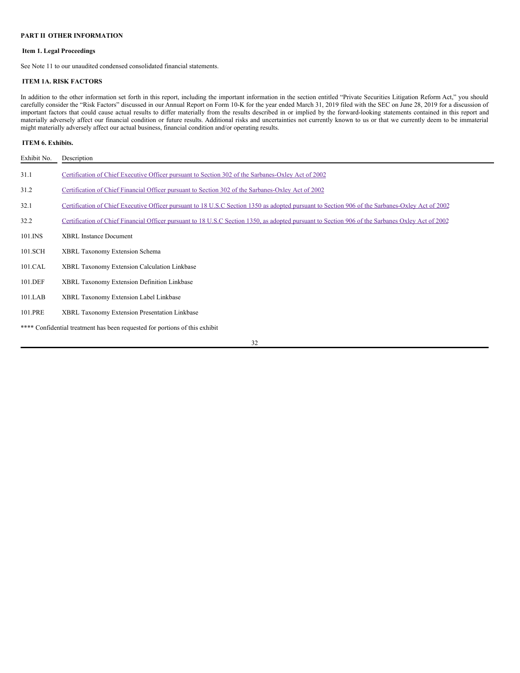# <span id="page-31-0"></span>**PART II OTHER INFORMATION**

# **Item 1. Legal Proceedings**

See Note 11 to our unaudited condensed consolidated financial statements.

# **ITEM 1A. RISK FACTORS**

In addition to the other information set forth in this report, including the important information in the section entitled "Private Securities Litigation Reform Act," you should carefully consider the "Risk Factors" discussed in our Annual Report on Form 10-K for the year ended March 31, 2019 filed with the SEC on June 28, 2019 for a discussion of important factors that could cause actual results to differ materially from the results described in or implied by the forward-looking statements contained in this report and materially adversely affect our financial condition or future results. Additional risks and uncertainties not currently known to us or that we currently deem to be immaterial might materially adversely affect our actual business, financial condition and/or operating results.

# <span id="page-31-1"></span>**ITEM 6. Exhibits.**

| Exhibit No. | Description                                                                                                                                      |
|-------------|--------------------------------------------------------------------------------------------------------------------------------------------------|
| 31.1        | Certification of Chief Executive Officer pursuant to Section 302 of the Sarbanes-Oxley Act of 2002                                               |
| 31.2        | Certification of Chief Financial Officer pursuant to Section 302 of the Sarbanes-Oxley Act of 2002                                               |
| 32.1        | Certification of Chief Executive Officer pursuant to 18 U.S.C Section 1350 as adopted pursuant to Section 906 of the Sarbanes-Oxley Act of 2002  |
| 32.2        | Certification of Chief Financial Officer pursuant to 18 U.S.C Section 1350, as adopted pursuant to Section 906 of the Sarbanes Oxley Act of 2002 |
| 101.INS     | <b>XBRL Instance Document</b>                                                                                                                    |
| 101.SCH     | XBRL Taxonomy Extension Schema                                                                                                                   |
| 101.CAL     | XBRL Taxonomy Extension Calculation Linkbase                                                                                                     |
| 101.DEF     | XBRL Taxonomy Extension Definition Linkbase                                                                                                      |
| $101$ .LAB  | XBRL Taxonomy Extension Label Linkbase                                                                                                           |
| 101.PRE     | XBRL Taxonomy Extension Presentation Linkbase                                                                                                    |
|             | **** Confidential treatment has been requested for portions of this exhibit                                                                      |
|             |                                                                                                                                                  |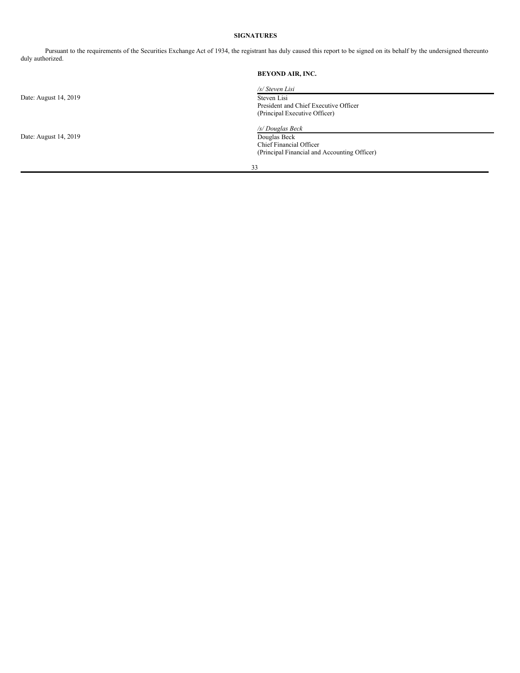# <span id="page-32-0"></span>**SIGNATURES**

Pursuant to the requirements of the Securities Exchange Act of 1934, the registrant has duly caused this report to be signed on its behalf by the undersigned thereunto duly authorized.

|                       | <b>BEYOND AIR, INC.</b>                      |
|-----------------------|----------------------------------------------|
|                       | /s/ Steven Lisi                              |
| Date: August 14, 2019 | Steven Lisi                                  |
|                       | President and Chief Executive Officer        |
|                       | (Principal Executive Officer)                |
|                       | /s/ Douglas Beck                             |
| Date: August 14, 2019 | Douglas Beck                                 |
|                       | Chief Financial Officer                      |
|                       | (Principal Financial and Accounting Officer) |
|                       | 33                                           |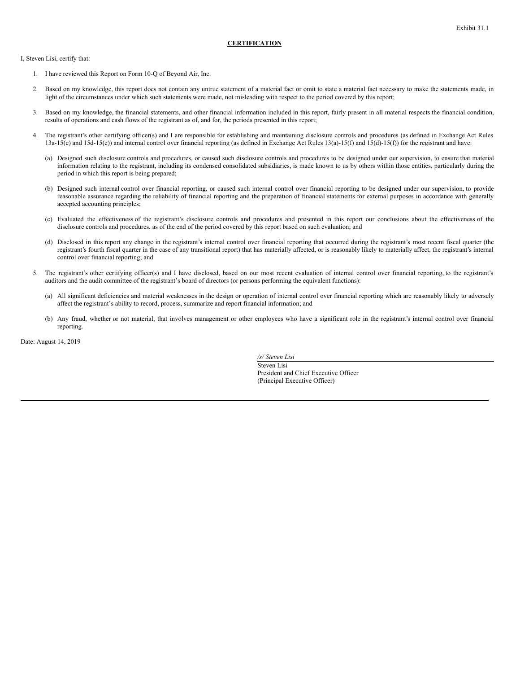<span id="page-34-0"></span>I, Steven Lisi, certify that:

- 1. I have reviewed this Report on Form 10-Q of Beyond Air, Inc.
- 2. Based on my knowledge, this report does not contain any untrue statement of a material fact or omit to state a material fact necessary to make the statements made, in light of the circumstances under which such statements were made, not misleading with respect to the period covered by this report;
- 3. Based on my knowledge, the financial statements, and other financial information included in this report, fairly present in all material respects the financial condition, results of operations and cash flows of the registrant as of, and for, the periods presented in this report;
- 4. The registrant's other certifying officer(s) and I are responsible for establishing and maintaining disclosure controls and procedures (as defined in Exchange Act Rules 13a-15(e) and 15d-15(e)) and internal control over financial reporting (as defined in Exchange Act Rules 13(a)-15(f) and 15(d)-15(f)) for the registrant and have:
	- (a) Designed such disclosure controls and procedures, or caused such disclosure controls and procedures to be designed under our supervision, to ensure that material information relating to the registrant, including its condensed consolidated subsidiaries, is made known to us by others within those entities, particularly during the period in which this report is being prepared;
	- (b) Designed such internal control over financial reporting, or caused such internal control over financial reporting to be designed under our supervision, to provide reasonable assurance regarding the reliability of financial reporting and the preparation of financial statements for external purposes in accordance with generally accepted accounting principles;
	- (c) Evaluated the effectiveness of the registrant's disclosure controls and procedures and presented in this report our conclusions about the effectiveness of the disclosure controls and procedures, as of the end of the period covered by this report based on such evaluation; and
	- (d) Disclosed in this report any change in the registrant's internal control over financial reporting that occurred during the registrant's most recent fiscal quarter (the registrant's fourth fiscal quarter in the case of any transitional report) that has materially affected, or is reasonably likely to materially affect, the registrant's internal control over financial reporting; and
- 5. The registrant's other certifying officer(s) and I have disclosed, based on our most recent evaluation of internal control over financial reporting, to the registrant's auditors and the audit committee of the registrant's board of directors (or persons performing the equivalent functions):
	- (a) All significant deficiencies and material weaknesses in the design or operation of internal control over financial reporting which are reasonably likely to adversely affect the registrant's ability to record, process, summarize and report financial information; and
	- (b) Any fraud, whether or not material, that involves management or other employees who have a significant role in the registrant's internal control over financial reporting.

Date: August 14, 2019

*/s/ Steven Lisi* Steven Lisi President and Chief Executive Officer (Principal Executive Officer)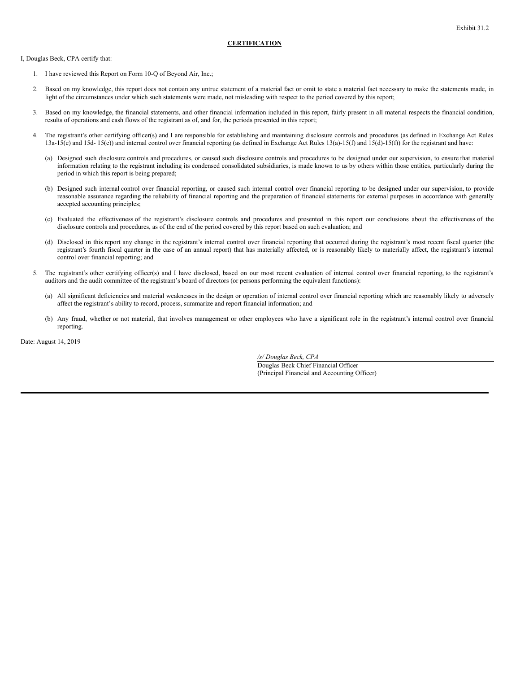<span id="page-36-0"></span>I, Douglas Beck, CPA certify that:

- 1. I have reviewed this Report on Form 10-Q of Beyond Air, Inc.;
- 2. Based on my knowledge, this report does not contain any untrue statement of a material fact or omit to state a material fact necessary to make the statements made, in light of the circumstances under which such statements were made, not misleading with respect to the period covered by this report;
- 3. Based on my knowledge, the financial statements, and other financial information included in this report, fairly present in all material respects the financial condition, results of operations and cash flows of the registrant as of, and for, the periods presented in this report;
- 4. The registrant's other certifying officer(s) and I are responsible for establishing and maintaining disclosure controls and procedures (as defined in Exchange Act Rules 13a-15(e) and 15d- 15(e)) and internal control over financial reporting (as defined in Exchange Act Rules 13(a)-15(f) and 15(d)-15(f)) for the registrant and have:
	- (a) Designed such disclosure controls and procedures, or caused such disclosure controls and procedures to be designed under our supervision, to ensure that material information relating to the registrant including its condensed consolidated subsidiaries, is made known to us by others within those entities, particularly during the period in which this report is being prepared;
	- (b) Designed such internal control over financial reporting, or caused such internal control over financial reporting to be designed under our supervision, to provide reasonable assurance regarding the reliability of financial reporting and the preparation of financial statements for external purposes in accordance with generally accepted accounting principles;
	- (c) Evaluated the effectiveness of the registrant's disclosure controls and procedures and presented in this report our conclusions about the effectiveness of the disclosure controls and procedures, as of the end of the period covered by this report based on such evaluation; and
	- (d) Disclosed in this report any change in the registrant's internal control over financial reporting that occurred during the registrant's most recent fiscal quarter (the registrant's fourth fiscal quarter in the case of an annual report) that has materially affected, or is reasonably likely to materially affect, the registrant's internal control over financial reporting; and
- 5. The registrant's other certifying officer(s) and I have disclosed, based on our most recent evaluation of internal control over financial reporting, to the registrant's auditors and the audit committee of the registrant's board of directors (or persons performing the equivalent functions):
	- (a) All significant deficiencies and material weaknesses in the design or operation of internal control over financial reporting which are reasonably likely to adversely affect the registrant's ability to record, process, summarize and report financial information; and
	- (b) Any fraud, whether or not material, that involves management or other employees who have a significant role in the registrant's internal control over financial reporting.

Date: August 14, 2019

*/s/ Douglas Beck, CPA* Douglas Beck Chief Financial Officer (Principal Financial and Accounting Officer)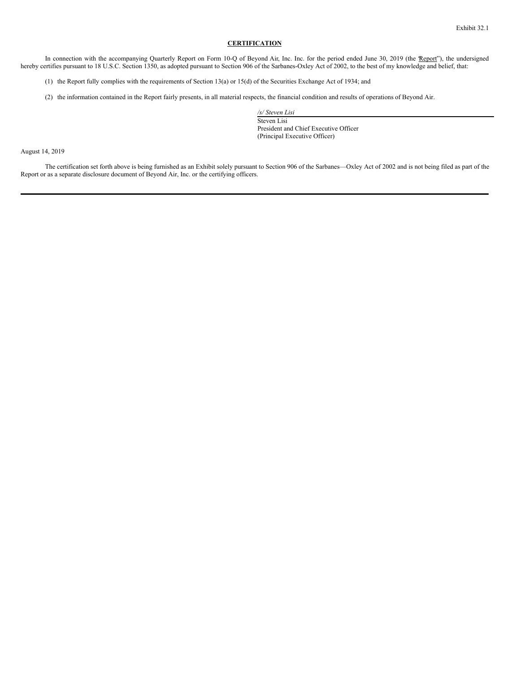<span id="page-38-0"></span>In connection with the accompanying Quarterly Report on Form 10-Q of Beyond Air, Inc. Inc. for the period ended June 30, 2019 (the "Report"), the undersigned hereby certifies pursuant to 18 U.S.C. Section 1350, as adopted pursuant to Section 906 of the Sarbanes-Oxley Act of 2002, to the best of my knowledge and belief, that:

- (1) the Report fully complies with the requirements of Section 13(a) or 15(d) of the Securities Exchange Act of 1934; and
- (2) the information contained in the Report fairly presents, in all material respects, the financial condition and results of operations of Beyond Air.

*/s/ Steven Lisi* Steven Lisi President and Chief Executive Officer (Principal Executive Officer)

August 14, 2019

The certification set forth above is being furnished as an Exhibit solely pursuant to Section 906 of the Sarbanes—Oxley Act of 2002 and is not being filed as part of the Report or as a separate disclosure document of Beyond Air, Inc. or the certifying officers.